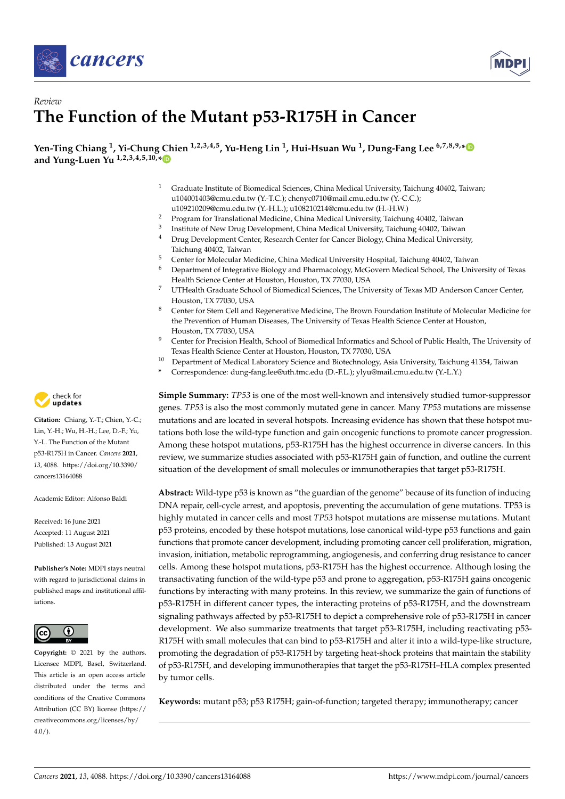



# *Review* **The Function of the Mutant p53-R175H in Cancer**

**Yen-Ting Chiang <sup>1</sup> , Yi-Chung Chien 1,2,3,4,5, Yu-Heng Lin <sup>1</sup> , Hui-Hsuan Wu <sup>1</sup> , Dung-Fang Lee 6,7,8,9,[\\*](https://orcid.org/0000-0003-2387-597X) and Yung-Luen Yu 1,2,3,4,5,10,[\\*](https://orcid.org/0000-0002-9745-1726)**

- <sup>1</sup> Graduate Institute of Biomedical Sciences, China Medical University, Taichung 40402, Taiwan; u104001403@cmu.edu.tw (Y.-T.C.); chenyc0710@mail.cmu.edu.tw (Y.-C.C.); u109210209@cmu.edu.tw (Y.-H.L.); u108210214@cmu.edu.tw (H.-H.W.)
- <sup>2</sup> Program for Translational Medicine, China Medical University, Taichung 40402, Taiwan
- 3 Institute of New Drug Development, China Medical University, Taichung 40402, Taiwan
- <sup>4</sup> Drug Development Center, Research Center for Cancer Biology, China Medical University, Taichung 40402, Taiwan
- <sup>5</sup> Center for Molecular Medicine, China Medical University Hospital, Taichung 40402, Taiwan
- <sup>6</sup> Department of Integrative Biology and Pharmacology, McGovern Medical School, The University of Texas Health Science Center at Houston, Houston, TX 77030, USA
- <sup>7</sup> UTHealth Graduate School of Biomedical Sciences, The University of Texas MD Anderson Cancer Center, Houston, TX 77030, USA
- <sup>8</sup> Center for Stem Cell and Regenerative Medicine, The Brown Foundation Institute of Molecular Medicine for the Prevention of Human Diseases, The University of Texas Health Science Center at Houston, Houston, TX 77030, USA
- <sup>9</sup> Center for Precision Health, School of Biomedical Informatics and School of Public Health, The University of Texas Health Science Center at Houston, Houston, TX 77030, USA
- <sup>10</sup> Department of Medical Laboratory Science and Biotechnology, Asia University, Taichung 41354, Taiwan
	- **\*** Correspondence: dung-fang.lee@uth.tmc.edu (D.-F.L.); ylyu@mail.cmu.edu.tw (Y.-L.Y.)

**Simple Summary:** *TP53* is one of the most well-known and intensively studied tumor-suppressor genes. *TP53* is also the most commonly mutated gene in cancer. Many *TP53* mutations are missense mutations and are located in several hotspots. Increasing evidence has shown that these hotspot mutations both lose the wild-type function and gain oncogenic functions to promote cancer progression. Among these hotspot mutations, p53-R175H has the highest occurrence in diverse cancers. In this review, we summarize studies associated with p53-R175H gain of function, and outline the current situation of the development of small molecules or immunotherapies that target p53-R175H.

**Abstract:** Wild-type p53 is known as "the guardian of the genome" because of its function of inducing DNA repair, cell-cycle arrest, and apoptosis, preventing the accumulation of gene mutations. TP53 is highly mutated in cancer cells and most *TP53* hotspot mutations are missense mutations. Mutant p53 proteins, encoded by these hotspot mutations, lose canonical wild-type p53 functions and gain functions that promote cancer development, including promoting cancer cell proliferation, migration, invasion, initiation, metabolic reprogramming, angiogenesis, and conferring drug resistance to cancer cells. Among these hotspot mutations, p53-R175H has the highest occurrence. Although losing the transactivating function of the wild-type p53 and prone to aggregation, p53-R175H gains oncogenic functions by interacting with many proteins. In this review, we summarize the gain of functions of p53-R175H in different cancer types, the interacting proteins of p53-R175H, and the downstream signaling pathways affected by p53-R175H to depict a comprehensive role of p53-R175H in cancer development. We also summarize treatments that target p53-R175H, including reactivating p53- R175H with small molecules that can bind to p53-R175H and alter it into a wild-type-like structure, promoting the degradation of p53-R175H by targeting heat-shock proteins that maintain the stability of p53-R175H, and developing immunotherapies that target the p53-R175H–HLA complex presented by tumor cells.

**Keywords:** mutant p53; p53 R175H; gain-of-function; targeted therapy; immunotherapy; cancer



**Citation:** Chiang, Y.-T.; Chien, Y.-C.; Lin, Y.-H.; Wu, H.-H.; Lee, D.-F.; Yu, Y.-L. The Function of the Mutant p53-R175H in Cancer. *Cancers* **2021**, *13*, 4088. [https://doi.org/10.3390/](https://doi.org/10.3390/cancers13164088) [cancers13164088](https://doi.org/10.3390/cancers13164088)

Academic Editor: Alfonso Baldi

Received: 16 June 2021 Accepted: 11 August 2021 Published: 13 August 2021

**Publisher's Note:** MDPI stays neutral with regard to jurisdictional claims in published maps and institutional affiliations.



**Copyright:** © 2021 by the authors. Licensee MDPI, Basel, Switzerland. This article is an open access article distributed under the terms and conditions of the Creative Commons Attribution (CC BY) license (https:/[/](https://creativecommons.org/licenses/by/4.0/) [creativecommons.org/licenses/by/](https://creativecommons.org/licenses/by/4.0/)  $4.0/$ ).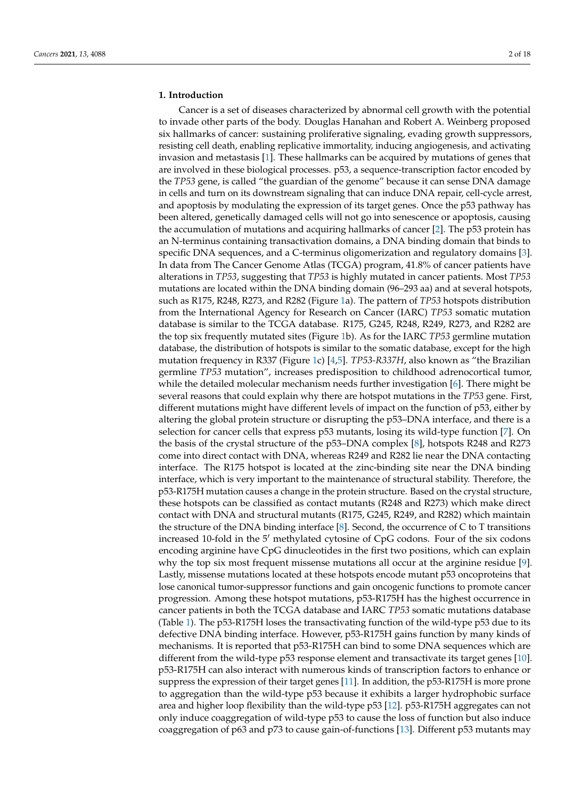### **1. Introduction**

Cancer is a set of diseases characterized by abnormal cell growth with the potential to invade other parts of the body. Douglas Hanahan and Robert A. Weinberg proposed six hallmarks of cancer: sustaining proliferative signaling, evading growth suppressors, resisting cell death, enabling replicative immortality, inducing angiogenesis, and activating invasion and metastasis [\[1\]](#page-13-0). These hallmarks can be acquired by mutations of genes that are involved in these biological processes. p53, a sequence-transcription factor encoded by the *TP53* gene, is called "the guardian of the genome" because it can sense DNA damage in cells and turn on its downstream signaling that can induce DNA repair, cell-cycle arrest, and apoptosis by modulating the expression of its target genes. Once the p53 pathway has been altered, genetically damaged cells will not go into senescence or apoptosis, causing the accumulation of mutations and acquiring hallmarks of cancer [\[2\]](#page-13-1). The p53 protein has an N-terminus containing transactivation domains, a DNA binding domain that binds to specific DNA sequences, and a C-terminus oligomerization and regulatory domains [\[3\]](#page-13-2). In data from The Cancer Genome Atlas (TCGA) program, 41.8% of cancer patients have alterations in *TP53*, suggesting that *TP53* is highly mutated in cancer patients. Most *TP53* mutations are located within the DNA binding domain (96–293 aa) and at several hotspots, such as R175, R248, R273, and R282 (Figure [1a](#page-2-0)). The pattern of *TP53* hotspots distribution from the International Agency for Research on Cancer (IARC) *TP53* somatic mutation database is similar to the TCGA database. R175, G245, R248, R249, R273, and R282 are the top six frequently mutated sites (Figure [1b](#page-2-0)). As for the IARC *TP53* germline mutation database, the distribution of hotspots is similar to the somatic database, except for the high mutation frequency in R337 (Figure [1c](#page-2-0)) [\[4](#page-13-3)[,5\]](#page-13-4). *TP53-R337H*, also known as "the Brazilian germline *TP53* mutation", increases predisposition to childhood adrenocortical tumor, while the detailed molecular mechanism needs further investigation [\[6\]](#page-13-5). There might be several reasons that could explain why there are hotspot mutations in the *TP53* gene. First, different mutations might have different levels of impact on the function of p53, either by altering the global protein structure or disrupting the p53–DNA interface, and there is a selection for cancer cells that express p53 mutants, losing its wild-type function [\[7\]](#page-13-6). On the basis of the crystal structure of the p53–DNA complex [\[8\]](#page-13-7), hotspots R248 and R273 come into direct contact with DNA, whereas R249 and R282 lie near the DNA contacting interface. The R175 hotspot is located at the zinc-binding site near the DNA binding interface, which is very important to the maintenance of structural stability. Therefore, the p53-R175H mutation causes a change in the protein structure. Based on the crystal structure, these hotspots can be classified as contact mutants (R248 and R273) which make direct contact with DNA and structural mutants (R175, G245, R249, and R282) which maintain the structure of the DNA binding interface [\[8\]](#page-13-7). Second, the occurrence of C to T transitions increased 10-fold in the  $5<sup>'</sup>$  methylated cytosine of CpG codons. Four of the six codons encoding arginine have CpG dinucleotides in the first two positions, which can explain why the top six most frequent missense mutations all occur at the arginine residue [\[9\]](#page-13-8). Lastly, missense mutations located at these hotspots encode mutant p53 oncoproteins that lose canonical tumor-suppressor functions and gain oncogenic functions to promote cancer progression. Among these hotspot mutations, p53-R175H has the highest occurrence in cancer patients in both the TCGA database and IARC *TP53* somatic mutations database (Table [1\)](#page-3-0). The p53-R175H loses the transactivating function of the wild-type p53 due to its defective DNA binding interface. However, p53-R175H gains function by many kinds of mechanisms. It is reported that p53-R175H can bind to some DNA sequences which are different from the wild-type p53 response element and transactivate its target genes [\[10\]](#page-14-0). p53-R175H can also interact with numerous kinds of transcription factors to enhance or suppress the expression of their target genes [\[11\]](#page-14-1). In addition, the p53-R175H is more prone to aggregation than the wild-type p53 because it exhibits a larger hydrophobic surface area and higher loop flexibility than the wild-type p53 [\[12\]](#page-14-2). p53-R175H aggregates can not only induce coaggregation of wild-type p53 to cause the loss of function but also induce coaggregation of p63 and p73 to cause gain-of-functions [\[13\]](#page-14-3). Different p53 mutants may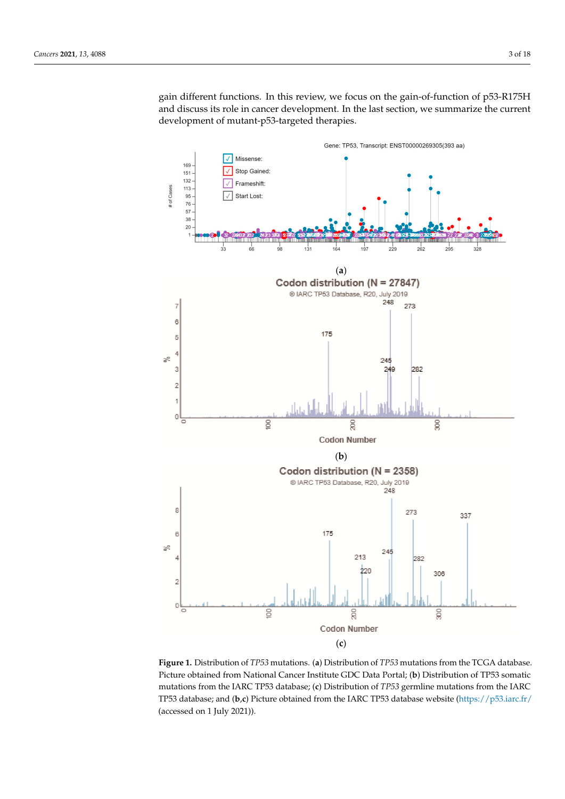gain different functions. In this review, we focus on the gain-of-function of p53-R175H and discuss its role in cancer development. In the last section, we summarize the current and discuss its role in cancer development. In the last section, we summarize the current development of mutant-p53-targeted therapies. tant-*p53*-targeted therapies.

cause the loss of function but also induce coaggregation of p63 and p73 to cause

<span id="page-2-0"></span>

Figure 1. Distribution of TP53 mutations. (a) Distribution of TP53 mutations from the TCGA database. Picture obtained from National Cancer Institute GDC Data Portal; (**b**) Distribution of TP53 somatic somatic mutations from the IARC TP53 database; (**c**) Distribution of *TP53* germline mutations mutations from the IARC TP53 database; (**c**) Distribution of *TP53* germline mutations from the IARC from the IARC TP53 database; and (**b**,**c**) Picture obtained from the IARC TP53 database website TP53 database; and (**b,***c*) Picture obtained from the IARC TP53 database website [\(https://p53.iarc.fr/](https://p53.iarc.fr/) (accessed on 1 July 2021)).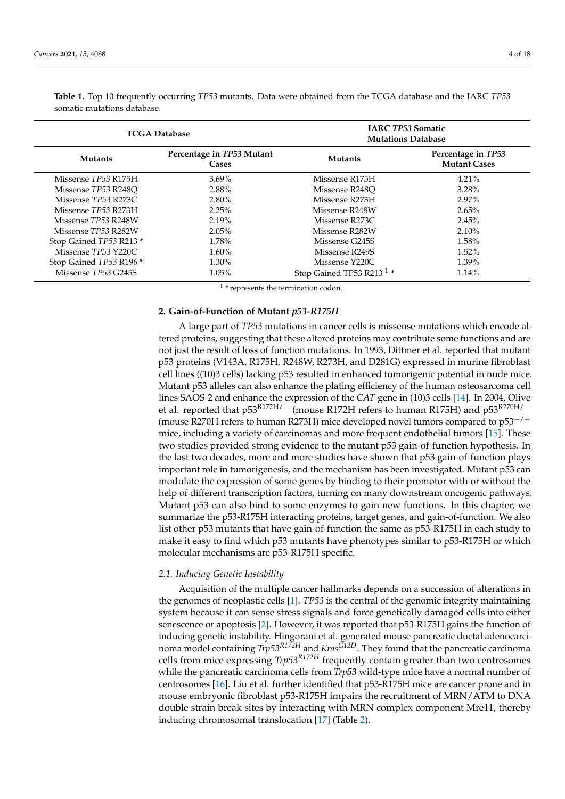| somatic mutations database. |                                    |                                                       |                                           |  |  |
|-----------------------------|------------------------------------|-------------------------------------------------------|-------------------------------------------|--|--|
| <b>TCGA Database</b>        |                                    | <b>IARC TP53 Somatic</b><br><b>Mutations Database</b> |                                           |  |  |
| <b>Mutants</b>              | Percentage in TP53 Mutant<br>Cases | <b>Mutants</b>                                        | Percentage in TP53<br><b>Mutant Cases</b> |  |  |
| Missense TP53 R175H         | $3.69\%$                           | Missense R175H                                        | $4.21\%$                                  |  |  |
| Missense TP53 R248O         | 2.88%                              | Missense R248O                                        | 3.28%                                     |  |  |
| Missense TP53 R273C         | $2.80\%$                           | Missense R273H                                        | $2.97\%$                                  |  |  |
| Missense TP53 R273H         | 2.25%                              | Missense R248W                                        | $2.65\%$                                  |  |  |
| Missense TP53 R248W         | 2.19%                              | Missense R273C                                        | 2.45%                                     |  |  |
| Missense TP53 R282W         | $2.05\%$                           | Missense R282W                                        | $2.10\%$                                  |  |  |
| Stop Gained TP53 R213 *     | 1.78%                              | Missense G245S                                        | 1.58%                                     |  |  |
| Missense TP53 Y220C         | $1.60\%$                           | Missense R249S                                        | $1.52\%$                                  |  |  |
| Stop Gained TP53 R196 *     | 1.30%                              | Missense Y220C                                        | $1.39\%$                                  |  |  |
| Missense TP53 G245S         | $1.05\%$                           | Stop Gained TP53 R213 <sup>1</sup> *                  | 1.14%                                     |  |  |

<span id="page-3-0"></span>**Table 1.** Top 10 frequently occurring *TP53* mutants. Data were obtained from the TCGA database and the IARC *TP53* somatic mutations database.

1 \* represents the termination codon.

# **2. Gain-of-Function of Mutant** *p53-R175H*

A large part of *TP53* mutations in cancer cells is missense mutations which encode altered proteins, suggesting that these altered proteins may contribute some functions and are not just the result of loss of function mutations. In 1993, Dittmer et al. reported that mutant p53 proteins (V143A, R175H, R248W, R273H, and D281G) expressed in murine fibroblast cell lines ((10)3 cells) lacking p53 resulted in enhanced tumorigenic potential in nude mice. Mutant p53 alleles can also enhance the plating efficiency of the human osteosarcoma cell lines SAOS-2 and enhance the expression of the *CAT* gene in (10)3 cells [\[14\]](#page-14-4). In 2004, Olive et al. reported that p53<sup>R172H/-</sup> (mouse R172H refers to human R175H) and p53<sup>R270H/-</sup> (mouse R270H refers to human R273H) mice developed novel tumors compared to p53−/<sup>−</sup> mice, including a variety of carcinomas and more frequent endothelial tumors [\[15\]](#page-14-5). These two studies provided strong evidence to the mutant p53 gain-of-function hypothesis. In the last two decades, more and more studies have shown that p53 gain-of-function plays important role in tumorigenesis, and the mechanism has been investigated. Mutant p53 can modulate the expression of some genes by binding to their promotor with or without the help of different transcription factors, turning on many downstream oncogenic pathways. Mutant p53 can also bind to some enzymes to gain new functions. In this chapter, we summarize the p53-R175H interacting proteins, target genes, and gain-of-function. We also list other p53 mutants that have gain-of-function the same as p53-R175H in each study to make it easy to find which p53 mutants have phenotypes similar to p53-R175H or which molecular mechanisms are p53-R175H specific.

#### *2.1. Inducing Genetic Instability*

Acquisition of the multiple cancer hallmarks depends on a succession of alterations in the genomes of neoplastic cells [\[1\]](#page-13-0). *TP53* is the central of the genomic integrity maintaining system because it can sense stress signals and force genetically damaged cells into either senescence or apoptosis [\[2\]](#page-13-1). However, it was reported that p53-R175H gains the function of inducing genetic instability. Hingorani et al. generated mouse pancreatic ductal adenocarcinoma model containing *Trp53R172H* and *KrasG12D*. They found that the pancreatic carcinoma cells from mice expressing *Trp53R172H* frequently contain greater than two centrosomes while the pancreatic carcinoma cells from *Trp53* wild-type mice have a normal number of centrosomes [\[16\]](#page-14-6). Liu et al. further identified that p53-R175H mice are cancer prone and in mouse embryonic fibroblast p53-R175H impairs the recruitment of MRN/ATM to DNA double strain break sites by interacting with MRN complex component Mre11, thereby inducing chromosomal translocation [\[17\]](#page-14-7) (Table [2\)](#page-4-0).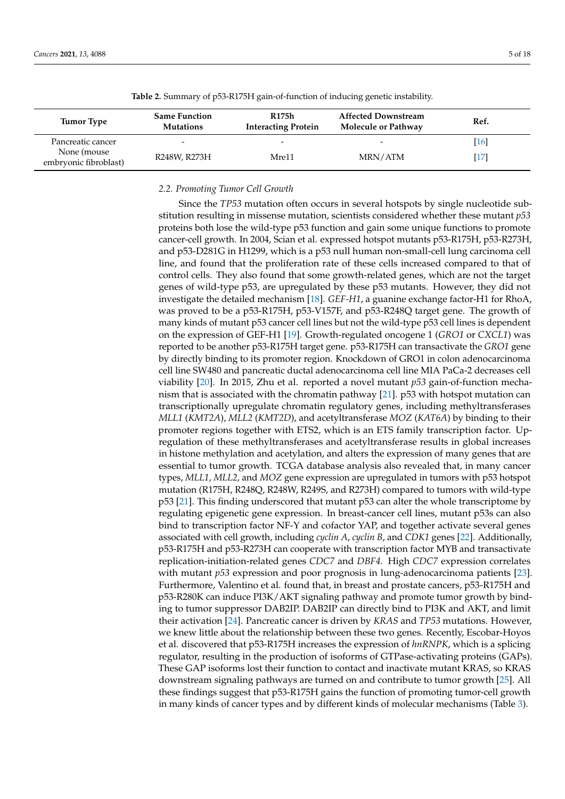<span id="page-4-0"></span>

| Tumor Type                            | <b>Same Function</b><br><b>Mutations</b> | <b>R175h</b><br><b>Interacting Protein</b> | <b>Affected Downstream</b><br>Molecule or Pathway | Ref.      |
|---------------------------------------|------------------------------------------|--------------------------------------------|---------------------------------------------------|-----------|
| Pancreatic cancer                     | $\overline{\phantom{0}}$                 |                                            |                                                   | <b>16</b> |
| None (mouse)<br>embryonic fibroblast) | R248W, R273H                             | Mre11                                      | MRN/ATM                                           |           |

**Table 2.** Summary of p53-R175H gain-of-function of inducing genetic instability.

# *2.2. Promoting Tumor Cell Growth*

Since the *TP53* mutation often occurs in several hotspots by single nucleotide substitution resulting in missense mutation, scientists considered whether these mutant *p53* proteins both lose the wild-type p53 function and gain some unique functions to promote cancer-cell growth. In 2004, Scian et al. expressed hotspot mutants p53-R175H, p53-R273H, and p53-D281G in H1299, which is a p53 null human non-small-cell lung carcinoma cell line, and found that the proliferation rate of these cells increased compared to that of control cells. They also found that some growth-related genes, which are not the target genes of wild-type p53, are upregulated by these p53 mutants. However, they did not investigate the detailed mechanism [\[18\]](#page-14-8). *GEF-H1*, a guanine exchange factor-H1 for RhoA, was proved to be a p53-R175H, p53-V157F, and p53-R248Q target gene. The growth of many kinds of mutant p53 cancer cell lines but not the wild-type p53 cell lines is dependent on the expression of GEF-H1 [\[19\]](#page-14-9). Growth-regulated oncogene 1 (*GRO1* or *CXCL1*) was reported to be another p53-R175H target gene. p53-R175H can transactivate the *GRO1* gene by directly binding to its promoter region. Knockdown of GRO1 in colon adenocarcinoma cell line SW480 and pancreatic ductal adenocarcinoma cell line MIA PaCa-2 decreases cell viability [\[20\]](#page-14-10). In 2015, Zhu et al. reported a novel mutant *p53* gain-of-function mechanism that is associated with the chromatin pathway [\[21\]](#page-14-11). p53 with hotspot mutation can transcriptionally upregulate chromatin regulatory genes, including methyltransferases *MLL1* (*KMT2A*), *MLL2* (*KMT2D*), and acetyltransferase *MOZ* (*KAT6A*) by binding to their promoter regions together with ETS2, which is an ETS family transcription factor. Upregulation of these methyltransferases and acetyltransferase results in global increases in histone methylation and acetylation, and alters the expression of many genes that are essential to tumor growth. TCGA database analysis also revealed that, in many cancer types, *MLL1*, *MLL2*, and *MOZ* gene expression are upregulated in tumors with p53 hotspot mutation (R175H, R248Q, R248W, R249S, and R273H) compared to tumors with wild-type p53 [\[21\]](#page-14-11). This finding underscored that mutant p53 can alter the whole transcriptome by regulating epigenetic gene expression. In breast-cancer cell lines, mutant p53s can also bind to transcription factor NF-Y and cofactor YAP, and together activate several genes associated with cell growth, including *cyclin A*, *cyclin B*, and *CDK1* genes [\[22\]](#page-14-12). Additionally, p53-R175H and p53-R273H can cooperate with transcription factor MYB and transactivate replication-initiation-related genes *CDC7* and *DBF4.* High *CDC7* expression correlates with mutant *p53* expression and poor prognosis in lung-adenocarcinoma patients [\[23\]](#page-14-13). Furthermore, Valentino et al. found that, in breast and prostate cancers, p53-R175H and p53-R280K can induce PI3K/AKT signaling pathway and promote tumor growth by binding to tumor suppressor DAB2IP. DAB2IP can directly bind to PI3K and AKT, and limit their activation [\[24\]](#page-14-14). Pancreatic cancer is driven by *KRAS* and *TP53* mutations. However, we knew little about the relationship between these two genes. Recently, Escobar-Hoyos et al. discovered that p53-R175H increases the expression of *hnRNPK*, which is a splicing regulator, resulting in the production of isoforms of GTPase-activating proteins (GAPs). These GAP isoforms lost their function to contact and inactivate mutant KRAS, so KRAS downstream signaling pathways are turned on and contribute to tumor growth [\[25\]](#page-14-15). All these findings suggest that p53-R175H gains the function of promoting tumor-cell growth in many kinds of cancer types and by different kinds of molecular mechanisms (Table [3\)](#page-5-0).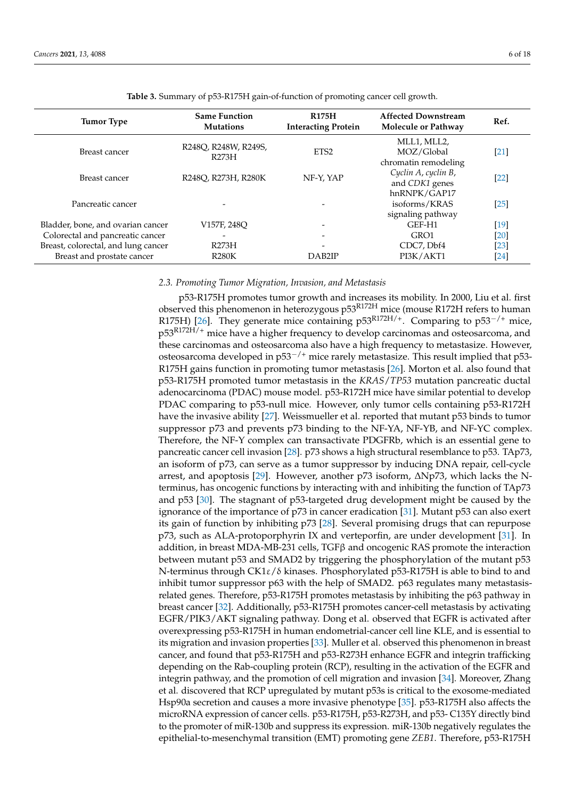<span id="page-5-0"></span>

| <b>Tumor Type</b>                   | <b>Same Function</b><br><b>Mutations</b> | <b>R175H</b><br><b>Interacting Protein</b> | <b>Affected Downstream</b><br>Molecule or Pathway     | Ref.   |
|-------------------------------------|------------------------------------------|--------------------------------------------|-------------------------------------------------------|--------|
| Breast cancer                       | R248O, R248W, R249S,<br>R273H            | ETS <sub>2</sub>                           | MLL1, MLL2,<br>MOZ/Global<br>chromatin remodeling     | $[21]$ |
| Breast cancer                       | R248O, R273H, R280K                      | NF-Y, YAP                                  | Cyclin A, cyclin B,<br>and CDK1 genes<br>hnRNPK/GAP17 | $[22]$ |
| Pancreatic cancer                   |                                          |                                            | isoforms/KRAS<br>signaling pathway                    | $[25]$ |
| Bladder, bone, and ovarian cancer   | V157F, 248O                              |                                            | GEF-H1                                                | $[19]$ |
| Colorectal and pancreatic cancer    |                                          |                                            | GRO1                                                  | $[20]$ |
| Breast, colorectal, and lung cancer | R273H                                    |                                            | CDC7, Dbf4                                            | $[23]$ |
| Breast and prostate cancer          | <b>R280K</b>                             | DAB <sub>2</sub> IP                        | PI3K/AKT1                                             | [24]   |

**Table 3.** Summary of p53-R175H gain-of-function of promoting cancer cell growth.

### *2.3. Promoting Tumor Migration, Invasion, and Metastasis*

p53-R175H promotes tumor growth and increases its mobility. In 2000, Liu et al. first observed this phenomenon in heterozygous p53R172H mice (mouse R172H refers to human R175H) [\[26\]](#page-14-16). They generate mice containing p53<sup>R172H/+</sup>. Comparing to p53<sup>-/+</sup> mice, p53<sup>R172H/+</sup> mice have a higher frequency to develop carcinomas and osteosarcoma, and these carcinomas and osteosarcoma also have a high frequency to metastasize. However, osteosarcoma developed in p53<sup>-/+</sup> mice rarely metastasize. This result implied that p53-R175H gains function in promoting tumor metastasis [\[26\]](#page-14-16). Morton et al. also found that p53-R175H promoted tumor metastasis in the *KRAS*/*TP53* mutation pancreatic ductal adenocarcinoma (PDAC) mouse model. p53-R172H mice have similar potential to develop PDAC comparing to p53-null mice. However, only tumor cells containing p53-R172H have the invasive ability [\[27\]](#page-14-17). Weissmueller et al. reported that mutant p53 binds to tumor suppressor p73 and prevents p73 binding to the NF-YA, NF-YB, and NF-YC complex. Therefore, the NF-Y complex can transactivate PDGFRb, which is an essential gene to pancreatic cancer cell invasion [\[28\]](#page-14-18). p73 shows a high structural resemblance to p53. TAp73, an isoform of p73, can serve as a tumor suppressor by inducing DNA repair, cell-cycle arrest, and apoptosis [\[29\]](#page-14-19). However, another p73 isoform, ∆Np73, which lacks the Nterminus, has oncogenic functions by interacting with and inhibiting the function of TAp73 and p53 [\[30\]](#page-14-20). The stagnant of p53-targeted drug development might be caused by the ignorance of the importance of p73 in cancer eradication [\[31\]](#page-14-21). Mutant p53 can also exert its gain of function by inhibiting p73 [\[28\]](#page-14-18). Several promising drugs that can repurpose p73, such as ALA-protoporphyrin IX and verteporfin, are under development [\[31\]](#page-14-21). In addition, in breast MDA-MB-231 cells,  $TGF\beta$  and oncogenic RAS promote the interaction between mutant p53 and SMAD2 by triggering the phosphorylation of the mutant p53 N-terminus through CK1ε/δ kinases. Phosphorylated p53-R175H is able to bind to and inhibit tumor suppressor p63 with the help of SMAD2. p63 regulates many metastasisrelated genes. Therefore, p53-R175H promotes metastasis by inhibiting the p63 pathway in breast cancer [\[32\]](#page-14-22). Additionally, p53-R175H promotes cancer-cell metastasis by activating EGFR/PIK3/AKT signaling pathway. Dong et al. observed that EGFR is activated after overexpressing p53-R175H in human endometrial-cancer cell line KLE, and is essential to its migration and invasion properties [\[33\]](#page-14-23). Muller et al. observed this phenomenon in breast cancer, and found that p53-R175H and p53-R273H enhance EGFR and integrin trafficking depending on the Rab-coupling protein (RCP), resulting in the activation of the EGFR and integrin pathway, and the promotion of cell migration and invasion [\[34\]](#page-14-24). Moreover, Zhang et al. discovered that RCP upregulated by mutant p53s is critical to the exosome-mediated Hsp90a secretion and causes a more invasive phenotype [\[35\]](#page-14-25). p53-R175H also affects the microRNA expression of cancer cells. p53-R175H, p53-R273H, and p53- C135Y directly bind to the promoter of miR-130b and suppress its expression. miR-130b negatively regulates the epithelial-to-mesenchymal transition (EMT) promoting gene *ZEB1*. Therefore, p53-R175H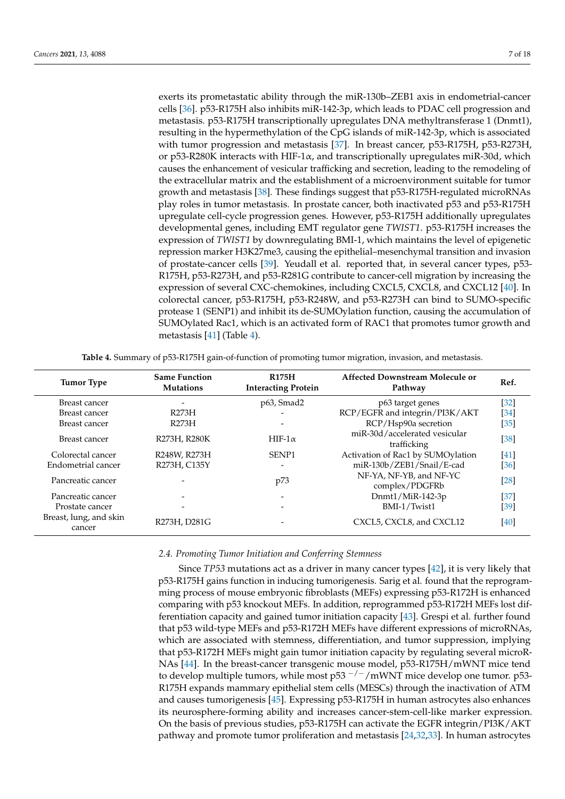exerts its prometastatic ability through the miR-130b–ZEB1 axis in endometrial-cancer cells [\[36\]](#page-15-0). p53-R175H also inhibits miR-142-3p, which leads to PDAC cell progression and metastasis. p53-R175H transcriptionally upregulates DNA methyltransferase 1 (Dnmt1), resulting in the hypermethylation of the CpG islands of miR-142-3p, which is associated with tumor progression and metastasis [\[37\]](#page-15-1). In breast cancer, p53-R175H, p53-R273H, or p53-R280K interacts with HIF-1 $\alpha$ , and transcriptionally upregulates miR-30d, which causes the enhancement of vesicular trafficking and secretion, leading to the remodeling of the extracellular matrix and the establishment of a microenvironment suitable for tumor growth and metastasis [\[38\]](#page-15-2). These findings suggest that p53-R175H-regulated microRNAs play roles in tumor metastasis. In prostate cancer, both inactivated p53 and p53-R175H upregulate cell-cycle progression genes. However, p53-R175H additionally upregulates developmental genes, including EMT regulator gene *TWIST1*. p53-R175H increases the expression of *TWIST1* by downregulating BMI-1, which maintains the level of epigenetic repression marker H3K27me3, causing the epithelial–mesenchymal transition and invasion of prostate-cancer cells [\[39\]](#page-15-3). Yeudall et al. reported that, in several cancer types, p53- R175H, p53-R273H, and p53-R281G contribute to cancer-cell migration by increasing the expression of several CXC-chemokines, including CXCL5, CXCL8, and CXCL12 [\[40\]](#page-15-4). In colorectal cancer, p53-R175H, p53-R248W, and p53-R273H can bind to SUMO-specific protease 1 (SENP1) and inhibit its de-SUMOylation function, causing the accumulation of SUMOylated Rac1, which is an activated form of RAC1 that promotes tumor growth and metastasis [\[41\]](#page-15-5) (Table [4\)](#page-6-0).

|  | <b>Table 4.</b> Summary of p53-R175H gain-of-function of promoting tumor migration, invasion, and metastasis. |  |  |  |
|--|---------------------------------------------------------------------------------------------------------------|--|--|--|
|  |                                                                                                               |  |  |  |

<span id="page-6-0"></span>

| <b>Tumor Type</b>                | <b>Same Function</b><br><b>R175H</b><br><b>Interacting Protein</b><br><b>Mutations</b> |                   | Affected Downstream Molecule or<br>Pathway   | Ref.   |
|----------------------------------|----------------------------------------------------------------------------------------|-------------------|----------------------------------------------|--------|
| Breast cancer                    | -                                                                                      | p63, Smad2        | p63 target genes                             | $[32]$ |
| Breast cancer                    | R273H                                                                                  |                   | RCP/EGFR and integrin/PI3K/AKT               | [34]   |
| Breast cancer                    | R273H                                                                                  |                   | RCP/Hsp90a secretion                         | $[35]$ |
| Breast cancer                    | R273H, R280K                                                                           | HIF-1 $\alpha$    | miR-30d/accelerated vesicular<br>trafficking | $[38]$ |
| Colorectal cancer                | R248W, R273H                                                                           | SENP <sub>1</sub> | Activation of Rac1 by SUMOylation            | $[41]$ |
| Endometrial cancer               | R273H, C135Y                                                                           |                   | miR-130b/ZEB1/Snail/E-cad                    | [36]   |
| Pancreatic cancer                |                                                                                        | p73               | NF-YA, NF-YB, and NF-YC<br>complex/PDGFRb    | $[28]$ |
| Pancreatic cancer                |                                                                                        |                   | Dnmt1/MiR-142-3p                             | $[37]$ |
| Prostate cancer                  |                                                                                        |                   | BMI-1/Twist1                                 | [39]   |
| Breast, lung, and skin<br>cancer | R273H, D281G                                                                           |                   | CXCL5, CXCL8, and CXCL12                     | [40]   |

# *2.4. Promoting Tumor Initiation and Conferring Stemness*

Since *TP53* mutations act as a driver in many cancer types [\[42\]](#page-15-6), it is very likely that p53-R175H gains function in inducing tumorigenesis. Sarig et al. found that the reprogramming process of mouse embryonic fibroblasts (MEFs) expressing p53-R172H is enhanced comparing with p53 knockout MEFs. In addition, reprogrammed p53-R172H MEFs lost differentiation capacity and gained tumor initiation capacity [\[43\]](#page-15-7). Grespi et al. further found that p53 wild-type MEFs and p53-R172H MEFs have different expressions of microRNAs, which are associated with stemness, differentiation, and tumor suppression, implying that p53-R172H MEFs might gain tumor initiation capacity by regulating several microR-NAs [\[44\]](#page-15-8). In the breast-cancer transgenic mouse model, p53-R175H/mWNT mice tend to develop multiple tumors, while most p53  $^{-/-}/$ mWNT mice develop one tumor. p53-R175H expands mammary epithelial stem cells (MESCs) through the inactivation of ATM and causes tumorigenesis [\[45\]](#page-15-9). Expressing p53-R175H in human astrocytes also enhances its neurosphere-forming ability and increases cancer-stem-cell-like marker expression. On the basis of previous studies, p53-R175H can activate the EGFR integrin/PI3K/AKT pathway and promote tumor proliferation and metastasis [\[24,](#page-14-14)[32,](#page-14-22)[33\]](#page-14-23). In human astrocytes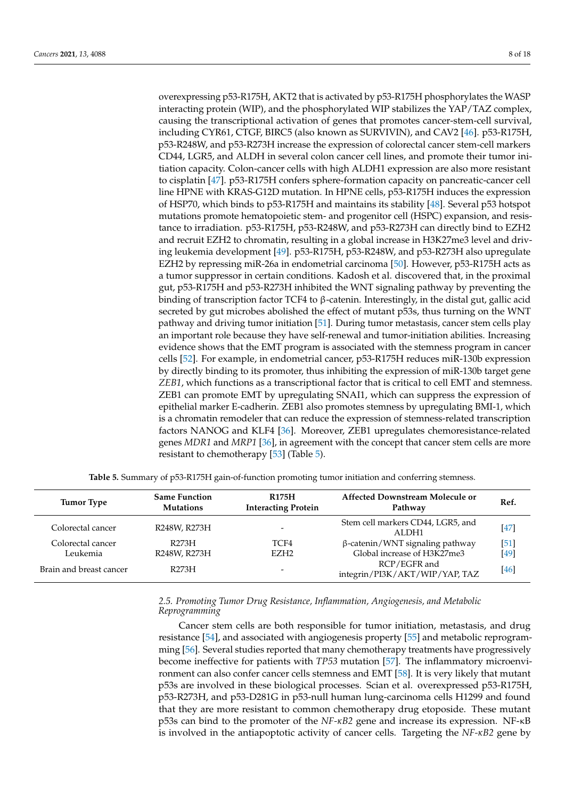overexpressing p53-R175H, AKT2 that is activated by p53-R175H phosphorylates the WASP interacting protein (WIP), and the phosphorylated WIP stabilizes the YAP/TAZ complex, causing the transcriptional activation of genes that promotes cancer-stem-cell survival, including CYR61, CTGF, BIRC5 (also known as SURVIVIN), and CAV2 [\[46\]](#page-15-10). p53-R175H, p53-R248W, and p53-R273H increase the expression of colorectal cancer stem-cell markers CD44, LGR5, and ALDH in several colon cancer cell lines, and promote their tumor initiation capacity. Colon-cancer cells with high ALDH1 expression are also more resistant to cisplatin [\[47\]](#page-15-11). p53-R175H confers sphere-formation capacity on pancreatic-cancer cell line HPNE with KRAS-G12D mutation. In HPNE cells, p53-R175H induces the expression of HSP70, which binds to p53-R175H and maintains its stability [\[48\]](#page-15-12). Several p53 hotspot mutations promote hematopoietic stem- and progenitor cell (HSPC) expansion, and resistance to irradiation. p53-R175H, p53-R248W, and p53-R273H can directly bind to EZH2 and recruit EZH2 to chromatin, resulting in a global increase in H3K27me3 level and driving leukemia development [\[49\]](#page-15-13). p53-R175H, p53-R248W, and p53-R273H also upregulate EZH2 by repressing miR-26a in endometrial carcinoma [\[50\]](#page-15-14). However, p53-R175H acts as a tumor suppressor in certain conditions. Kadosh et al. discovered that, in the proximal gut, p53-R175H and p53-R273H inhibited the WNT signaling pathway by preventing the binding of transcription factor TCF4 to β-catenin. Interestingly, in the distal gut, gallic acid secreted by gut microbes abolished the effect of mutant p53s, thus turning on the WNT pathway and driving tumor initiation [\[51\]](#page-15-15). During tumor metastasis, cancer stem cells play an important role because they have self-renewal and tumor-initiation abilities. Increasing evidence shows that the EMT program is associated with the stemness program in cancer cells [\[52\]](#page-15-16). For example, in endometrial cancer, p53-R175H reduces miR-130b expression by directly binding to its promoter, thus inhibiting the expression of miR-130b target gene *ZEB1*, which functions as a transcriptional factor that is critical to cell EMT and stemness. ZEB1 can promote EMT by upregulating SNAI1, which can suppress the expression of epithelial marker E-cadherin. ZEB1 also promotes stemness by upregulating BMI-1, which is a chromatin remodeler that can reduce the expression of stemness-related transcription factors NANOG and KLF4 [\[36\]](#page-15-0). Moreover, ZEB1 upregulates chemoresistance-related genes *MDR1* and *MRP1* [\[36\]](#page-15-0), in agreement with the concept that cancer stem cells are more resistant to chemotherapy [\[53\]](#page-15-17) (Table [5\)](#page-7-0).

<span id="page-7-0"></span>

| <b>Tumor Type</b>       | <b>Same Function</b><br><b>Mutations</b> | <b>R175H</b><br><b>Interacting Protein</b> | Affected Downstream Molecule or<br>Pathway     | Ref.   |
|-------------------------|------------------------------------------|--------------------------------------------|------------------------------------------------|--------|
| Colorectal cancer       | R248W, R273H                             | $\overline{\phantom{0}}$                   | Stem cell markers CD44, LGR5, and<br>ALDH1     | $[47]$ |
| Colorectal cancer       | R273H                                    | TCF4                                       | $\beta$ -catenin/WNT signaling pathway         | [51]   |
| Leukemia                | R248W, R273H                             | EZH <sub>2</sub>                           | Global increase of H3K27me3                    | [49]   |
| Brain and breast cancer | R273H                                    | $\overline{\phantom{0}}$                   | RCP/EGFR and<br>integrin/PI3K/AKT/WIP/YAP, TAZ | [46]   |

**Table 5.** Summary of p53-R175H gain-of-function promoting tumor initiation and conferring stemness.

# *2.5. Promoting Tumor Drug Resistance, Inflammation, Angiogenesis, and Metabolic Reprogramming*

Cancer stem cells are both responsible for tumor initiation, metastasis, and drug resistance [\[54\]](#page-15-18), and associated with angiogenesis property [\[55\]](#page-15-19) and metabolic reprogramming [\[56\]](#page-15-20). Several studies reported that many chemotherapy treatments have progressively become ineffective for patients with *TP53* mutation [\[57\]](#page-15-21). The inflammatory microenvironment can also confer cancer cells stemness and EMT [\[58\]](#page-15-22). It is very likely that mutant p53s are involved in these biological processes. Scian et al. overexpressed p53-R175H, p53-R273H, and p53-D281G in p53-null human lung-carcinoma cells H1299 and found that they are more resistant to common chemotherapy drug etoposide. These mutant p53s can bind to the promoter of the *NF-κB2* gene and increase its expression. NF-κB is involved in the antiapoptotic activity of cancer cells. Targeting the *NF-κB2* gene by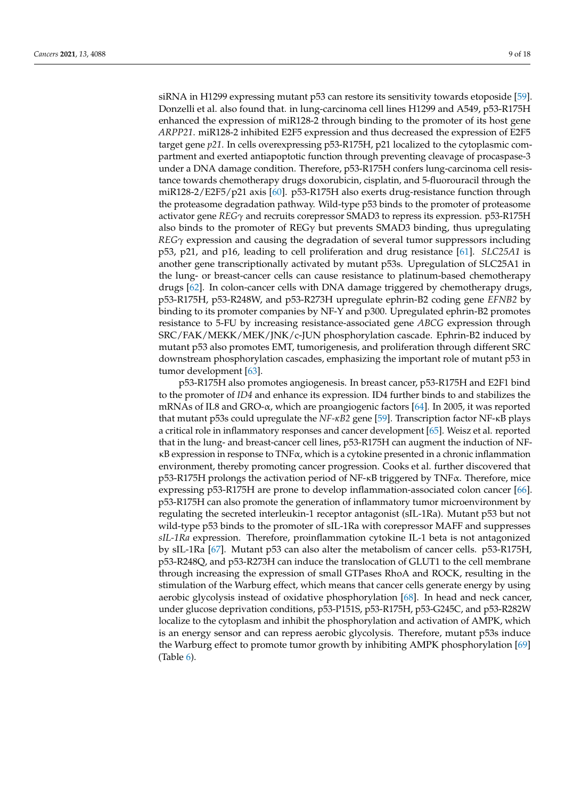siRNA in H1299 expressing mutant p53 can restore its sensitivity towards etoposide [\[59\]](#page-15-23). Donzelli et al. also found that. in lung-carcinoma cell lines H1299 and A549, p53-R175H enhanced the expression of miR128-2 through binding to the promoter of its host gene *ARPP21*. miR128-2 inhibited E2F5 expression and thus decreased the expression of E2F5 target gene *p21*. In cells overexpressing p53-R175H, p21 localized to the cytoplasmic compartment and exerted antiapoptotic function through preventing cleavage of procaspase-3 under a DNA damage condition. Therefore, p53-R175H confers lung-carcinoma cell resistance towards chemotherapy drugs doxorubicin, cisplatin, and 5-fluorouracil through the miR128-2/E2F5/p21 axis [\[60\]](#page-16-0). p53-R175H also exerts drug-resistance function through the proteasome degradation pathway. Wild-type p53 binds to the promoter of proteasome activator gene *REGγ* and recruits corepressor SMAD3 to repress its expression. p53-R175H also binds to the promoter of  $REG\gamma$  but prevents SMAD3 binding, thus upregulating *REGγ* expression and causing the degradation of several tumor suppressors including p53, p21, and p16, leading to cell proliferation and drug resistance [\[61\]](#page-16-1). *SLC25A1* is another gene transcriptionally activated by mutant p53s. Upregulation of SLC25A1 in the lung- or breast-cancer cells can cause resistance to platinum-based chemotherapy drugs [\[62\]](#page-16-2). In colon-cancer cells with DNA damage triggered by chemotherapy drugs, p53-R175H, p53-R248W, and p53-R273H upregulate ephrin-B2 coding gene *EFNB2* by binding to its promoter companies by NF-Y and p300. Upregulated ephrin-B2 promotes resistance to 5-FU by increasing resistance-associated gene *ABCG* expression through SRC/FAK/MEKK/MEK/JNK/c-JUN phosphorylation cascade. Ephrin-B2 induced by mutant p53 also promotes EMT, tumorigenesis, and proliferation through different SRC downstream phosphorylation cascades, emphasizing the important role of mutant p53 in tumor development [\[63\]](#page-16-3).

p53-R175H also promotes angiogenesis. In breast cancer, p53-R175H and E2F1 bind to the promoter of *ID4* and enhance its expression. ID4 further binds to and stabilizes the mRNAs of IL8 and GRO- $\alpha$ , which are proangiogenic factors [\[64\]](#page-16-4). In 2005, it was reported that mutant p53s could upregulate the *NF-κB2* gene [\[59\]](#page-15-23). Transcription factor NF-κB plays a critical role in inflammatory responses and cancer development [\[65\]](#page-16-5). Weisz et al. reported that in the lung- and breast-cancer cell lines, p53-R175H can augment the induction of NFκB expression in response to TNFα, which is a cytokine presented in a chronic inflammation environment, thereby promoting cancer progression. Cooks et al. further discovered that p53-R175H prolongs the activation period of NF-κB triggered by TNFα. Therefore, mice expressing p53-R175H are prone to develop inflammation-associated colon cancer [\[66\]](#page-16-6). p53-R175H can also promote the generation of inflammatory tumor microenvironment by regulating the secreted interleukin-1 receptor antagonist (sIL-1Ra). Mutant p53 but not wild-type p53 binds to the promoter of sIL-1Ra with corepressor MAFF and suppresses *sIL-1Ra* expression. Therefore, proinflammation cytokine IL-1 beta is not antagonized by sIL-1Ra [\[67\]](#page-16-7). Mutant p53 can also alter the metabolism of cancer cells. p53-R175H, p53-R248Q, and p53-R273H can induce the translocation of GLUT1 to the cell membrane through increasing the expression of small GTPases RhoA and ROCK, resulting in the stimulation of the Warburg effect, which means that cancer cells generate energy by using aerobic glycolysis instead of oxidative phosphorylation [\[68\]](#page-16-8). In head and neck cancer, under glucose deprivation conditions, p53-P151S, p53-R175H, p53-G245C, and p53-R282W localize to the cytoplasm and inhibit the phosphorylation and activation of AMPK, which is an energy sensor and can repress aerobic glycolysis. Therefore, mutant p53s induce the Warburg effect to promote tumor growth by inhibiting AMPK phosphorylation [\[69\]](#page-16-9) (Table [6\)](#page-9-0).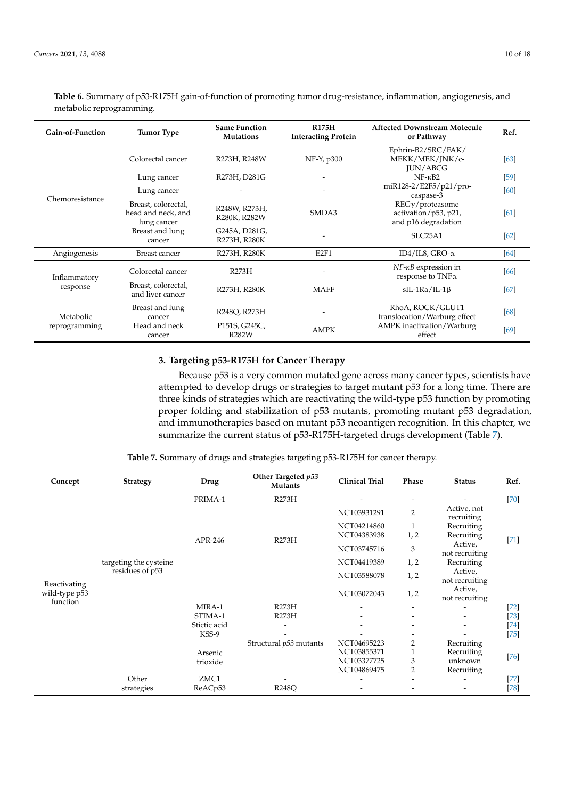| Gain-of-Function | <b>Tumor Type</b>                                        | <b>Same Function</b><br><b>Mutations</b> | <b>R175H</b><br><b>Interacting Protein</b> | <b>Affected Downstream Molecule</b><br>or Pathway                      | Ref.   |
|------------------|----------------------------------------------------------|------------------------------------------|--------------------------------------------|------------------------------------------------------------------------|--------|
|                  | Colorectal cancer                                        | R273H, R248W                             | NF-Y, p300                                 | Ephrin-B2/SRC/FAK/<br>MEKK/MEK/JNK/c-<br><b>JUN/ABCG</b>               | [63]   |
|                  | Lung cancer                                              | R273H, D281G                             |                                            | $NF - \kappa B2$                                                       | $[59]$ |
| Chemoresistance  | Lung cancer                                              |                                          |                                            | miR128-2/E2F5/p21/pro-<br>caspase-3                                    | [60]   |
|                  | Breast, colorectal,<br>head and neck, and<br>lung cancer | R248W, R273H,<br>R280K, R282W            | SMDA3                                      | $REG\gamma$ /proteasome<br>activation/p53, p21,<br>and p16 degradation | [61]   |
|                  | Breast and lung<br>cancer                                | G245A, D281G,<br>R273H, R280K            | -                                          | SLC <sub>25</sub> A <sub>1</sub>                                       | [62]   |
| Angiogenesis     | Breast cancer                                            | R273H, R280K                             | E <sub>2F1</sub>                           | ID4/IL8, GRO- $\alpha$                                                 | [64]   |
| Inflammatory     | Colorectal cancer                                        | R273H                                    |                                            | $NF$ - $\kappa$ <i>B</i> expression in<br>response to $TNF\alpha$      | [66]   |
| response         | Breast, colorectal,<br>and liver cancer                  | R273H, R280K                             | <b>MAFF</b>                                | $sIL-1Ra/IL-1\beta$                                                    | [67]   |
| Metabolic        | Breast and lung<br>cancer                                | R248Q, R273H                             |                                            | RhoA, ROCK/GLUT1<br>translocation/Warburg effect                       | [68]   |
| reprogramming    | Head and neck<br>cancer                                  | P151S, G245C,<br><b>R282W</b>            | <b>AMPK</b>                                | AMPK inactivation/Warburg<br>effect                                    | [69]   |

<span id="page-9-0"></span>**Table 6.** Summary of p53-R175H gain-of-function of promoting tumor drug-resistance, inflammation, angiogenesis, and metabolic reprogramming.

# **3. Targeting p53-R175H for Cancer Therapy**

Because p53 is a very common mutated gene across many cancer types, scientists have attempted to develop drugs or strategies to target mutant p53 for a long time. There are three kinds of strategies which are reactivating the wild-type p53 function by promoting proper folding and stabilization of p53 mutants, promoting mutant p53 degradation, and immunotherapies based on mutant p53 neoantigen recognition. In this chapter, we summarize the current status of p53-R175H-targeted drugs development (Table [7\)](#page-9-1).

**Table 7.** Summary of drugs and strategies targeting p53-R175H for cancer therapy.

<span id="page-9-1"></span>

| Concept                                   | <b>Strategy</b>        | Drug         | Other Targeted p53<br><b>Mutants</b> | <b>Clinical Trial</b> | Phase                     | <b>Status</b>             | Ref.                 |
|-------------------------------------------|------------------------|--------------|--------------------------------------|-----------------------|---------------------------|---------------------------|----------------------|
|                                           |                        | PRIMA-1      | R273H                                |                       | $\overline{\phantom{a}}$  |                           | $[70]$               |
|                                           |                        |              |                                      | NCT03931291           | 2                         | Active, not<br>recruiting |                      |
|                                           |                        |              |                                      | NCT04214860           | 1                         | Recruiting                |                      |
|                                           |                        | APR-246      | R273H                                | NCT04383938           | 1, 2                      | Recruiting                | $[71]$               |
| Reactivating<br>wild-type p53<br>function |                        |              | NCT03745716                          | 3                     | Active,<br>not recruiting |                           |                      |
|                                           | targeting the cysteine |              |                                      | NCT04419389           | 1, 2                      | Recruiting                |                      |
|                                           | residues of p53        |              |                                      | NCT03588078           | 1, 2                      | Active,<br>not recruiting |                      |
|                                           |                        |              |                                      | NCT03072043           | 1, 2                      | Active,<br>not recruiting |                      |
|                                           |                        | MIRA-1       | R273H                                |                       |                           |                           | $[72]$               |
|                                           |                        | STIMA-1      | R273H                                |                       |                           |                           | $[73]$               |
|                                           |                        | Stictic acid |                                      |                       |                           |                           | $[74] \label{eq:4}$  |
|                                           |                        | KSS-9        |                                      |                       |                           |                           | $[75]$               |
|                                           |                        |              | Structural p53 mutants               | NCT04695223           | 2                         | Recruiting                |                      |
|                                           |                        | Arsenic      |                                      | NCT03855371           | 1                         | Recruiting                | $[76]$               |
|                                           |                        | trioxide     |                                      | NCT03377725           | 3                         | unknown                   |                      |
|                                           |                        |              |                                      | NCT04869475           | 2                         | Recruiting                |                      |
|                                           | Other                  | ZMC1         |                                      |                       |                           |                           | $[77] \label{eq:77}$ |
|                                           | strategies             | ReACp53      | <b>R248Q</b>                         |                       |                           |                           | $[78]$               |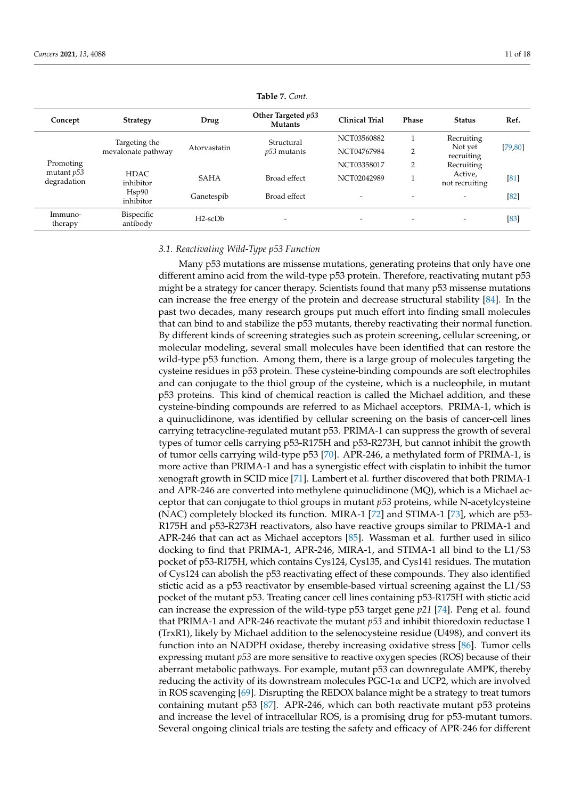| Concept                     | <b>Strategy</b>        | Drug          | Other Targeted p53<br><b>Mutants</b> | <b>Clinical Trial</b>    | Phase | <b>Status</b>             | Ref.     |
|-----------------------------|------------------------|---------------|--------------------------------------|--------------------------|-------|---------------------------|----------|
|                             | Targeting the          |               | Structural                           | NCT03560882              |       | Recruiting                |          |
|                             | mevalonate pathway     | Atorvastatin  | $p53$ mutants                        | NCT04767984              | 2     | Not yet<br>recruiting     | [79, 80] |
| Promoting                   |                        |               |                                      | NCT03358017              | 2     | Recruiting                |          |
| mutant $p53$<br>degradation | HDAC.<br>inhibitor     | <b>SAHA</b>   | Broad effect                         | NCT02042989              |       | Active,<br>not recruiting | [81]     |
|                             | Hsp90<br>inhibitor     | Ganetespib    | Broad effect                         | $\overline{\phantom{0}}$ |       |                           | $[82]$   |
| Immuno-<br>therapy          | Bispecific<br>antibody | $H2$ -sc $Db$ | $\overline{\phantom{0}}$             | $\overline{\phantom{0}}$ |       | $\overline{\phantom{0}}$  | $[83]$   |

**Table 7.** *Cont.*

# *3.1. Reactivating Wild-Type p53 Function*

Many p53 mutations are missense mutations, generating proteins that only have one different amino acid from the wild-type p53 protein. Therefore, reactivating mutant p53 might be a strategy for cancer therapy. Scientists found that many p53 missense mutations can increase the free energy of the protein and decrease structural stability [\[84\]](#page-17-1). In the past two decades, many research groups put much effort into finding small molecules that can bind to and stabilize the p53 mutants, thereby reactivating their normal function. By different kinds of screening strategies such as protein screening, cellular screening, or molecular modeling, several small molecules have been identified that can restore the wild-type p53 function. Among them, there is a large group of molecules targeting the cysteine residues in p53 protein. These cysteine-binding compounds are soft electrophiles and can conjugate to the thiol group of the cysteine, which is a nucleophile, in mutant p53 proteins. This kind of chemical reaction is called the Michael addition, and these cysteine-binding compounds are referred to as Michael acceptors. PRIMA-1, which is a quinuclidinone, was identified by cellular screening on the basis of cancer-cell lines carrying tetracycline-regulated mutant p53. PRIMA-1 can suppress the growth of several types of tumor cells carrying p53-R175H and p53-R273H, but cannot inhibit the growth of tumor cells carrying wild-type p53 [\[70\]](#page-16-10). APR-246, a methylated form of PRIMA-1, is more active than PRIMA-1 and has a synergistic effect with cisplatin to inhibit the tumor xenograft growth in SCID mice [\[71\]](#page-16-11). Lambert et al. further discovered that both PRIMA-1 and APR-246 are converted into methylene quinuclidinone (MQ), which is a Michael acceptor that can conjugate to thiol groups in mutant *p53* proteins, while N-acetylcysteine (NAC) completely blocked its function. MIRA-1 [\[72\]](#page-16-12) and STIMA-1 [\[73\]](#page-16-13), which are p53- R175H and p53-R273H reactivators, also have reactive groups similar to PRIMA-1 and APR-246 that can act as Michael acceptors [\[85\]](#page-17-2). Wassman et al. further used in silico docking to find that PRIMA-1, APR-246, MIRA-1, and STIMA-1 all bind to the L1/S3 pocket of p53-R175H, which contains Cys124, Cys135, and Cys141 residues. The mutation of Cys124 can abolish the p53 reactivating effect of these compounds. They also identified stictic acid as a p53 reactivator by ensemble-based virtual screening against the L1/S3 pocket of the mutant p53. Treating cancer cell lines containing p53-R175H with stictic acid can increase the expression of the wild-type p53 target gene *p21* [\[74\]](#page-16-14). Peng et al. found that PRIMA-1 and APR-246 reactivate the mutant *p53* and inhibit thioredoxin reductase 1 (TrxR1), likely by Michael addition to the selenocysteine residue (U498), and convert its function into an NADPH oxidase, thereby increasing oxidative stress [\[86\]](#page-17-3). Tumor cells expressing mutant *p53* are more sensitive to reactive oxygen species (ROS) because of their aberrant metabolic pathways. For example, mutant p53 can downregulate AMPK, thereby reducing the activity of its downstream molecules  $PGC-1\alpha$  and UCP2, which are involved in ROS scavenging [\[69\]](#page-16-9). Disrupting the REDOX balance might be a strategy to treat tumors containing mutant p53 [\[87\]](#page-17-4). APR-246, which can both reactivate mutant p53 proteins and increase the level of intracellular ROS, is a promising drug for p53-mutant tumors. Several ongoing clinical trials are testing the safety and efficacy of APR-246 for different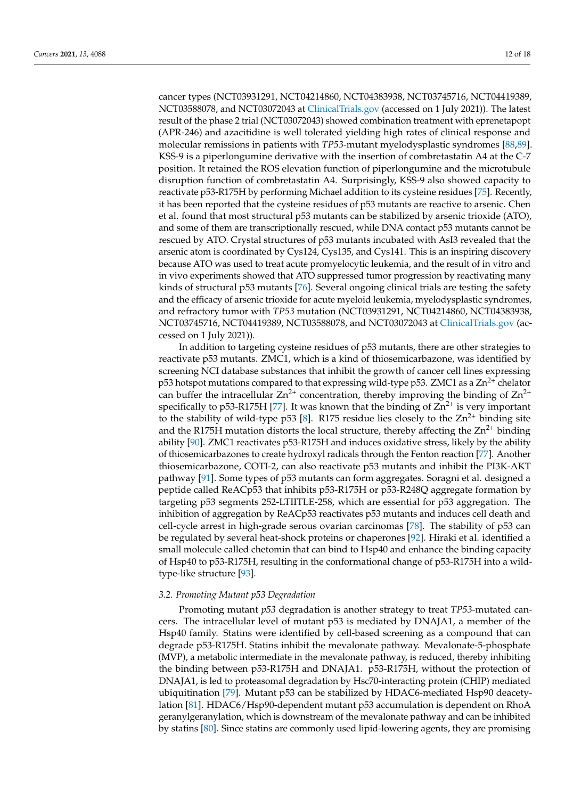cancer types (NCT03931291, NCT04214860, NCT04383938, NCT03745716, NCT04419389, NCT03588078, and NCT03072043 at <ClinicalTrials.gov> (accessed on 1 July 2021)). The latest result of the phase 2 trial (NCT03072043) showed combination treatment with eprenetapopt (APR-246) and azacitidine is well tolerated yielding high rates of clinical response and molecular remissions in patients with *TP53*-mutant myelodysplastic syndromes [\[88,](#page-17-5)[89\]](#page-17-6). KSS-9 is a piperlongumine derivative with the insertion of combretastatin A4 at the C-7 position. It retained the ROS elevation function of piperlongumine and the microtubule disruption function of combretastatin A4. Surprisingly, KSS-9 also showed capacity to reactivate p53-R175H by performing Michael addition to its cysteine residues [\[75\]](#page-16-15). Recently, it has been reported that the cysteine residues of p53 mutants are reactive to arsenic. Chen et al. found that most structural p53 mutants can be stabilized by arsenic trioxide (ATO), and some of them are transcriptionally rescued, while DNA contact p53 mutants cannot be rescued by ATO. Crystal structures of p53 mutants incubated with AsI3 revealed that the arsenic atom is coordinated by Cys124, Cys135, and Cys141. This is an inspiring discovery because ATO was used to treat acute promyelocytic leukemia, and the result of in vitro and in vivo experiments showed that ATO suppressed tumor progression by reactivating many kinds of structural p53 mutants [\[76\]](#page-16-16). Several ongoing clinical trials are testing the safety and the efficacy of arsenic trioxide for acute myeloid leukemia, myelodysplastic syndromes, and refractory tumor with *TP53* mutation (NCT03931291, NCT04214860, NCT04383938, NCT03745716, NCT04419389, NCT03588078, and NCT03072043 at <ClinicalTrials.gov> (accessed on 1 July 2021)).

In addition to targeting cysteine residues of p53 mutants, there are other strategies to reactivate p53 mutants. ZMC1, which is a kind of thiosemicarbazone, was identified by screening NCI database substances that inhibit the growth of cancer cell lines expressing p53 hotspot mutations compared to that expressing wild-type p53. ZMC1 as a  $Zn^{2+}$  chelator can buffer the intracellular  $\text{Zn}^{2+}$  concentration, thereby improving the binding of  $\text{Zn}^{2+}$ specifically to p53-R175H [\[77\]](#page-16-17). It was known that the binding of  $\text{Zn}^{2+}$  is very important to the stability of wild-type p53 [\[8\]](#page-13-7). R175 residue lies closely to the  $Zn^{2+}$  binding site and the R175H mutation distorts the local structure, thereby affecting the  $\text{Zn}^{2+}$  binding ability [\[90\]](#page-17-7). ZMC1 reactivates p53-R175H and induces oxidative stress, likely by the ability of thiosemicarbazones to create hydroxyl radicals through the Fenton reaction [\[77\]](#page-16-17). Another thiosemicarbazone, COTI-2, can also reactivate p53 mutants and inhibit the PI3K-AKT pathway [\[91\]](#page-17-8). Some types of p53 mutants can form aggregates. Soragni et al. designed a peptide called ReACp53 that inhibits p53-R175H or p53-R248Q aggregate formation by targeting p53 segments 252-LTIITLE-258, which are essential for p53 aggregation. The inhibition of aggregation by ReACp53 reactivates p53 mutants and induces cell death and cell-cycle arrest in high-grade serous ovarian carcinomas [\[78\]](#page-16-18). The stability of p53 can be regulated by several heat-shock proteins or chaperones [\[92\]](#page-17-9). Hiraki et al. identified a small molecule called chetomin that can bind to Hsp40 and enhance the binding capacity of Hsp40 to p53-R175H, resulting in the conformational change of p53-R175H into a wildtype-like structure [\[93\]](#page-17-10).

# *3.2. Promoting Mutant p53 Degradation*

Promoting mutant *p53* degradation is another strategy to treat *TP53*-mutated cancers. The intracellular level of mutant p53 is mediated by DNAJA1, a member of the Hsp40 family. Statins were identified by cell-based screening as a compound that can degrade p53-R175H. Statins inhibit the mevalonate pathway. Mevalonate-5-phosphate (MVP), a metabolic intermediate in the mevalonate pathway, is reduced, thereby inhibiting the binding between p53-R175H and DNAJA1. p53-R175H, without the protection of DNAJA1, is led to proteasomal degradation by Hsc70-interacting protein (CHIP) mediated ubiquitination [\[79\]](#page-16-19). Mutant p53 can be stabilized by HDAC6-mediated Hsp90 deacetylation [\[81\]](#page-16-21). HDAC6/Hsp90-dependent mutant p53 accumulation is dependent on RhoA geranylgeranylation, which is downstream of the mevalonate pathway and can be inhibited by statins [\[80\]](#page-16-20). Since statins are commonly used lipid-lowering agents, they are promising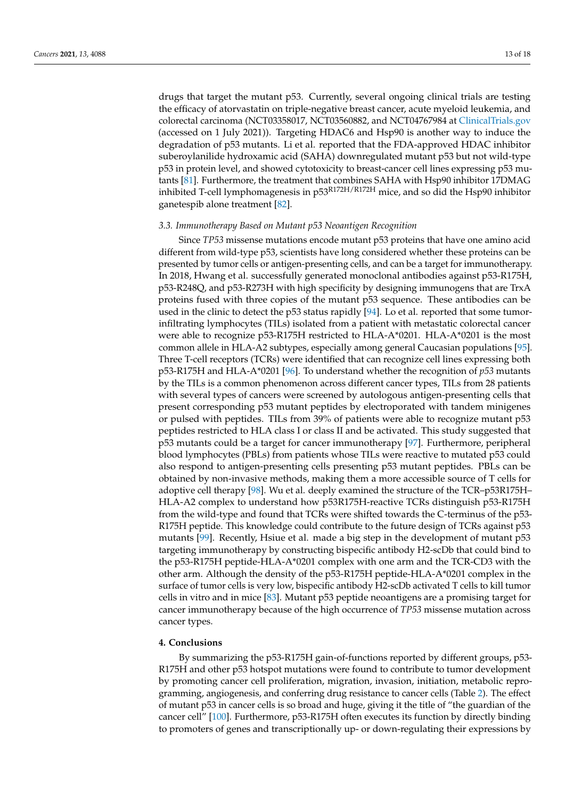drugs that target the mutant p53. Currently, several ongoing clinical trials are testing the efficacy of atorvastatin on triple-negative breast cancer, acute myeloid leukemia, and colorectal carcinoma (NCT03358017, NCT03560882, and NCT04767984 at <ClinicalTrials.gov> (accessed on 1 July 2021)). Targeting HDAC6 and Hsp90 is another way to induce the degradation of p53 mutants. Li et al. reported that the FDA-approved HDAC inhibitor suberoylanilide hydroxamic acid (SAHA) downregulated mutant p53 but not wild-type p53 in protein level, and showed cytotoxicity to breast-cancer cell lines expressing p53 mutants [\[81\]](#page-16-21). Furthermore, the treatment that combines SAHA with Hsp90 inhibitor 17DMAG inhibited T-cell lymphomagenesis in  $p53^{R172H/R172H}$  mice, and so did the Hsp90 inhibitor ganetespib alone treatment [\[82\]](#page-16-22).

#### *3.3. Immunotherapy Based on Mutant p53 Neoantigen Recognition*

Since *TP53* missense mutations encode mutant p53 proteins that have one amino acid different from wild-type p53, scientists have long considered whether these proteins can be presented by tumor cells or antigen-presenting cells, and can be a target for immunotherapy. In 2018, Hwang et al. successfully generated monoclonal antibodies against p53-R175H, p53-R248Q, and p53-R273H with high specificity by designing immunogens that are TrxA proteins fused with three copies of the mutant p53 sequence. These antibodies can be used in the clinic to detect the p53 status rapidly [\[94\]](#page-17-11). Lo et al. reported that some tumorinfiltrating lymphocytes (TILs) isolated from a patient with metastatic colorectal cancer were able to recognize p53-R175H restricted to HLA-A\*0201. HLA-A\*0201 is the most common allele in HLA-A2 subtypes, especially among general Caucasian populations [\[95\]](#page-17-12). Three T-cell receptors (TCRs) were identified that can recognize cell lines expressing both p53-R175H and HLA-A\*0201 [\[96\]](#page-17-13). To understand whether the recognition of *p53* mutants by the TILs is a common phenomenon across different cancer types, TILs from 28 patients with several types of cancers were screened by autologous antigen-presenting cells that present corresponding p53 mutant peptides by electroporated with tandem minigenes or pulsed with peptides. TILs from 39% of patients were able to recognize mutant p53 peptides restricted to HLA class I or class II and be activated. This study suggested that p53 mutants could be a target for cancer immunotherapy [\[97\]](#page-17-14). Furthermore, peripheral blood lymphocytes (PBLs) from patients whose TILs were reactive to mutated p53 could also respond to antigen-presenting cells presenting p53 mutant peptides. PBLs can be obtained by non-invasive methods, making them a more accessible source of T cells for adoptive cell therapy [\[98\]](#page-17-15). Wu et al. deeply examined the structure of the TCR–p53R175H– HLA-A2 complex to understand how p53R175H-reactive TCRs distinguish p53-R175H from the wild-type and found that TCRs were shifted towards the C-terminus of the p53- R175H peptide. This knowledge could contribute to the future design of TCRs against p53 mutants [\[99\]](#page-17-16). Recently, Hsiue et al. made a big step in the development of mutant p53 targeting immunotherapy by constructing bispecific antibody H2-scDb that could bind to the p53-R175H peptide-HLA-A\*0201 complex with one arm and the TCR-CD3 with the other arm. Although the density of the p53-R175H peptide-HLA-A\*0201 complex in the surface of tumor cells is very low, bispecific antibody H2-scDb activated T cells to kill tumor cells in vitro and in mice [\[83\]](#page-17-0). Mutant p53 peptide neoantigens are a promising target for cancer immunotherapy because of the high occurrence of *TP53* missense mutation across cancer types.

# **4. Conclusions**

By summarizing the p53-R175H gain-of-functions reported by different groups, p53- R175H and other p53 hotspot mutations were found to contribute to tumor development by promoting cancer cell proliferation, migration, invasion, initiation, metabolic reprogramming, angiogenesis, and conferring drug resistance to cancer cells (Table [2\)](#page-4-0). The effect of mutant p53 in cancer cells is so broad and huge, giving it the title of "the guardian of the cancer cell" [\[100\]](#page-17-17). Furthermore, p53-R175H often executes its function by directly binding to promoters of genes and transcriptionally up- or down-regulating their expressions by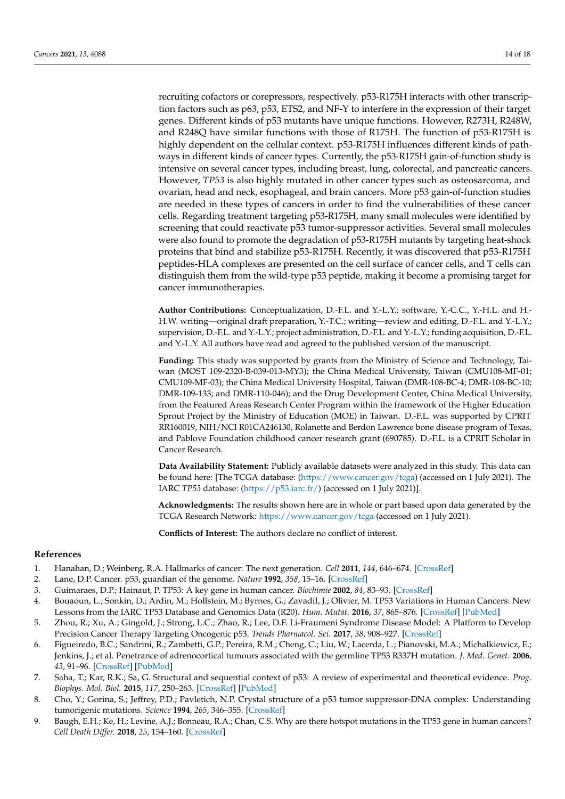recruiting cofactors or corepressors, respectively. p53-R175H interacts with other transcription factors such as p63, p53, ETS2, and NF-Y to interfere in the expression of their target genes. Different kinds of p53 mutants have unique functions. However, R273H, R248W, and R248Q have similar functions with those of R175H. The function of p53-R175H is highly dependent on the cellular context. p53-R175H influences different kinds of pathways in different kinds of cancer types. Currently, the p53-R175H gain-of-function study is intensive on several cancer types, including breast, lung, colorectal, and pancreatic cancers. However, *TP53* is also highly mutated in other cancer types such as osteosarcoma, and ovarian, head and neck, esophageal, and brain cancers. More p53 gain-of-function studies are needed in these types of cancers in order to find the vulnerabilities of these cancer cells. Regarding treatment targeting p53-R175H, many small molecules were identified by screening that could reactivate p53 tumor-suppressor activities. Several small molecules were also found to promote the degradation of p53-R175H mutants by targeting heat-shock proteins that bind and stabilize p53-R175H. Recently, it was discovered that p53-R175H peptides-HLA complexes are presented on the cell surface of cancer cells, and T cells can distinguish them from the wild-type p53 peptide, making it become a promising target for cancer immunotherapies.

**Author Contributions:** Conceptualization, D.-F.L. and Y.-L.Y.; software, Y.-C.C., Y.-H.L. and H.- H.W. writing—original draft preparation, Y.-T.C.; writing—review and editing, D.-F.L. and Y.-L.Y.; supervision, D.-F.L. and Y.-L.Y.; project administration, D.-F.L. and Y.-L.Y.; funding acquisition, D.-F.L. and Y.-L.Y. All authors have read and agreed to the published version of the manuscript.

**Funding:** This study was supported by grants from the Ministry of Science and Technology, Taiwan (MOST 109-2320-B-039-013-MY3); the China Medical University, Taiwan (CMU108-MF-01; CMU109-MF-03); the China Medical University Hospital, Taiwan (DMR-108-BC-4; DMR-108-BC-10; DMR-109-133; and DMR-110-046); and the Drug Development Center, China Medical University, from the Featured Areas Research Center Program within the framework of the Higher Education Sprout Project by the Ministry of Education (MOE) in Taiwan. D.-F.L. was supported by CPRIT RR160019, NIH/NCI R01CA246130, Rolanette and Berdon Lawrence bone disease program of Texas, and Pablove Foundation childhood cancer research grant (690785). D.-F.L. is a CPRIT Scholar in Cancer Research.

**Data Availability Statement:** Publicly available datasets were analyzed in this study. This data can be found here: [The TCGA database: [\(https://www.cancer.gov/tcga\)](https://www.cancer.gov/tcga) (accessed on 1 July 2021). The IARC *TP53* database: [\(https://p53.iarc.fr/\)](https://p53.iarc.fr/) (accessed on 1 July 2021)].

**Acknowledgments:** The results shown here are in whole or part based upon data generated by the TCGA Research Network: <https://www.cancer.gov/tcga> (accessed on 1 July 2021).

**Conflicts of Interest:** The authors declare no conflict of interest.

## **References**

- <span id="page-13-0"></span>1. Hanahan, D.; Weinberg, R.A. Hallmarks of cancer: The next generation. *Cell* **2011**, *144*, 646–674. [\[CrossRef\]](http://doi.org/10.1016/j.cell.2011.02.013)
- <span id="page-13-1"></span>2. Lane, D.P. Cancer. p53, guardian of the genome. *Nature* **1992**, *358*, 15–16. [\[CrossRef\]](http://doi.org/10.1038/358015a0)
- <span id="page-13-2"></span>3. Guimaraes, D.P.; Hainaut, P. TP53: A key gene in human cancer. *Biochimie* **2002**, *84*, 83–93. [\[CrossRef\]](http://doi.org/10.1016/S0300-9084(01)01356-6)
- <span id="page-13-3"></span>4. Bouaoun, L.; Sonkin, D.; Ardin, M.; Hollstein, M.; Byrnes, G.; Zavadil, J.; Olivier, M. TP53 Variations in Human Cancers: New Lessons from the IARC TP53 Database and Genomics Data (R20). *Hum. Mutat.* **2016**, *37*, 865–876. [\[CrossRef\]](http://doi.org/10.1002/humu.23035) [\[PubMed\]](http://www.ncbi.nlm.nih.gov/pubmed/27328919)
- <span id="page-13-4"></span>5. Zhou, R.; Xu, A.; Gingold, J.; Strong, L.C.; Zhao, R.; Lee, D.F. Li-Fraumeni Syndrome Disease Model: A Platform to Develop Precision Cancer Therapy Targeting Oncogenic p53. *Trends Pharmacol. Sci.* **2017**, *38*, 908–927. [\[CrossRef\]](http://doi.org/10.1016/j.tips.2017.07.004)
- <span id="page-13-5"></span>6. Figueiredo, B.C.; Sandrini, R.; Zambetti, G.P.; Pereira, R.M.; Cheng, C.; Liu, W.; Lacerda, L.; Pianovski, M.A.; Michalkiewicz, E.; Jenkins, J.; et al. Penetrance of adrenocortical tumours associated with the germline TP53 R337H mutation. *J. Med. Genet.* **2006**, *43*, 91–96. [\[CrossRef\]](http://doi.org/10.1136/jmg.2004.030551) [\[PubMed\]](http://www.ncbi.nlm.nih.gov/pubmed/16033918)
- <span id="page-13-6"></span>7. Saha, T.; Kar, R.K.; Sa, G. Structural and sequential context of p53: A review of experimental and theoretical evidence. *Prog. Biophys. Mol. Biol.* **2015**, *117*, 250–263. [\[CrossRef\]](http://doi.org/10.1016/j.pbiomolbio.2014.12.002) [\[PubMed\]](http://www.ncbi.nlm.nih.gov/pubmed/25550083)
- <span id="page-13-7"></span>8. Cho, Y.; Gorina, S.; Jeffrey, P.D.; Pavletich, N.P. Crystal structure of a p53 tumor suppressor-DNA complex: Understanding tumorigenic mutations. *Science* **1994**, *265*, 346–355. [\[CrossRef\]](http://doi.org/10.1126/science.8023157)
- <span id="page-13-8"></span>9. Baugh, E.H.; Ke, H.; Levine, A.J.; Bonneau, R.A.; Chan, C.S. Why are there hotspot mutations in the TP53 gene in human cancers? *Cell Death Differ.* **2018**, *25*, 154–160. [\[CrossRef\]](http://doi.org/10.1038/cdd.2017.180)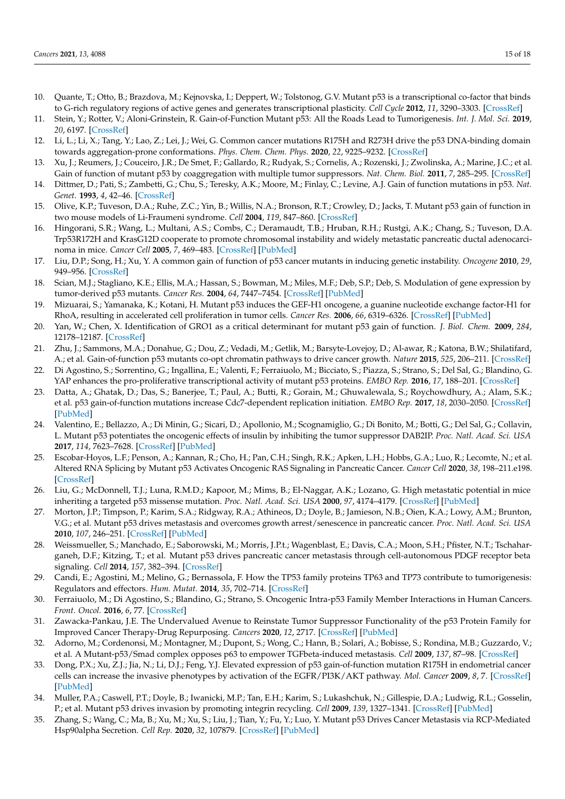- <span id="page-14-0"></span>10. Quante, T.; Otto, B.; Brazdova, M.; Kejnovska, I.; Deppert, W.; Tolstonog, G.V. Mutant p53 is a transcriptional co-factor that binds to G-rich regulatory regions of active genes and generates transcriptional plasticity. *Cell Cycle* **2012**, *11*, 3290–3303. [\[CrossRef\]](http://doi.org/10.4161/cc.21646)
- <span id="page-14-1"></span>11. Stein, Y.; Rotter, V.; Aloni-Grinstein, R. Gain-of-Function Mutant p53: All the Roads Lead to Tumorigenesis. *Int. J. Mol. Sci.* **2019**, *20*, 6197. [\[CrossRef\]](http://doi.org/10.3390/ijms20246197)
- <span id="page-14-2"></span>12. Li, L.; Li, X.; Tang, Y.; Lao, Z.; Lei, J.; Wei, G. Common cancer mutations R175H and R273H drive the p53 DNA-binding domain towards aggregation-prone conformations. *Phys. Chem. Chem. Phys.* **2020**, *22*, 9225–9232. [\[CrossRef\]](http://doi.org/10.1039/C9CP06671C)
- <span id="page-14-3"></span>13. Xu, J.; Reumers, J.; Couceiro, J.R.; De Smet, F.; Gallardo, R.; Rudyak, S.; Cornelis, A.; Rozenski, J.; Zwolinska, A.; Marine, J.C.; et al. Gain of function of mutant p53 by coaggregation with multiple tumor suppressors. *Nat. Chem. Biol.* **2011**, *7*, 285–295. [\[CrossRef\]](http://doi.org/10.1038/nchembio.546)
- <span id="page-14-4"></span>14. Dittmer, D.; Pati, S.; Zambetti, G.; Chu, S.; Teresky, A.K.; Moore, M.; Finlay, C.; Levine, A.J. Gain of function mutations in p53. *Nat. Genet.* **1993**, *4*, 42–46. [\[CrossRef\]](http://doi.org/10.1038/ng0593-42)
- <span id="page-14-5"></span>15. Olive, K.P.; Tuveson, D.A.; Ruhe, Z.C.; Yin, B.; Willis, N.A.; Bronson, R.T.; Crowley, D.; Jacks, T. Mutant p53 gain of function in two mouse models of Li-Fraumeni syndrome. *Cell* **2004**, *119*, 847–860. [\[CrossRef\]](http://doi.org/10.1016/j.cell.2004.11.004)
- <span id="page-14-6"></span>16. Hingorani, S.R.; Wang, L.; Multani, A.S.; Combs, C.; Deramaudt, T.B.; Hruban, R.H.; Rustgi, A.K.; Chang, S.; Tuveson, D.A. Trp53R172H and KrasG12D cooperate to promote chromosomal instability and widely metastatic pancreatic ductal adenocarcinoma in mice. *Cancer Cell* **2005**, *7*, 469–483. [\[CrossRef\]](http://doi.org/10.1016/j.ccr.2005.04.023) [\[PubMed\]](http://www.ncbi.nlm.nih.gov/pubmed/15894267)
- <span id="page-14-7"></span>17. Liu, D.P.; Song, H.; Xu, Y. A common gain of function of p53 cancer mutants in inducing genetic instability. *Oncogene* **2010**, *29*, 949–956. [\[CrossRef\]](http://doi.org/10.1038/onc.2009.376)
- <span id="page-14-8"></span>18. Scian, M.J.; Stagliano, K.E.; Ellis, M.A.; Hassan, S.; Bowman, M.; Miles, M.F.; Deb, S.P.; Deb, S. Modulation of gene expression by tumor-derived p53 mutants. *Cancer Res.* **2004**, *64*, 7447–7454. [\[CrossRef\]](http://doi.org/10.1158/0008-5472.CAN-04-1568) [\[PubMed\]](http://www.ncbi.nlm.nih.gov/pubmed/15492269)
- <span id="page-14-9"></span>19. Mizuarai, S.; Yamanaka, K.; Kotani, H. Mutant p53 induces the GEF-H1 oncogene, a guanine nucleotide exchange factor-H1 for RhoA, resulting in accelerated cell proliferation in tumor cells. *Cancer Res.* **2006**, *66*, 6319–6326. [\[CrossRef\]](http://doi.org/10.1158/0008-5472.CAN-05-4629) [\[PubMed\]](http://www.ncbi.nlm.nih.gov/pubmed/16778209)
- <span id="page-14-10"></span>20. Yan, W.; Chen, X. Identification of GRO1 as a critical determinant for mutant p53 gain of function. *J. Biol. Chem.* **2009**, *284*, 12178–12187. [\[CrossRef\]](http://doi.org/10.1074/jbc.M900994200)
- <span id="page-14-11"></span>21. Zhu, J.; Sammons, M.A.; Donahue, G.; Dou, Z.; Vedadi, M.; Getlik, M.; Barsyte-Lovejoy, D.; Al-awar, R.; Katona, B.W.; Shilatifard, A.; et al. Gain-of-function p53 mutants co-opt chromatin pathways to drive cancer growth. *Nature* **2015**, *525*, 206–211. [\[CrossRef\]](http://doi.org/10.1038/nature15251)
- <span id="page-14-12"></span>22. Di Agostino, S.; Sorrentino, G.; Ingallina, E.; Valenti, F.; Ferraiuolo, M.; Bicciato, S.; Piazza, S.; Strano, S.; Del Sal, G.; Blandino, G. YAP enhances the pro-proliferative transcriptional activity of mutant p53 proteins. *EMBO Rep.* **2016**, *17*, 188–201. [\[CrossRef\]](http://doi.org/10.15252/embr.201540488)
- <span id="page-14-13"></span>23. Datta, A.; Ghatak, D.; Das, S.; Banerjee, T.; Paul, A.; Butti, R.; Gorain, M.; Ghuwalewala, S.; Roychowdhury, A.; Alam, S.K.; et al. p53 gain-of-function mutations increase Cdc7-dependent replication initiation. *EMBO Rep.* **2017**, *18*, 2030–2050. [\[CrossRef\]](http://doi.org/10.15252/embr.201643347) [\[PubMed\]](http://www.ncbi.nlm.nih.gov/pubmed/28887320)
- <span id="page-14-14"></span>24. Valentino, E.; Bellazzo, A.; Di Minin, G.; Sicari, D.; Apollonio, M.; Scognamiglio, G.; Di Bonito, M.; Botti, G.; Del Sal, G.; Collavin, L. Mutant p53 potentiates the oncogenic effects of insulin by inhibiting the tumor suppressor DAB2IP. *Proc. Natl. Acad. Sci. USA* **2017**, *114*, 7623–7628. [\[CrossRef\]](http://doi.org/10.1073/pnas.1700996114) [\[PubMed\]](http://www.ncbi.nlm.nih.gov/pubmed/28667123)
- <span id="page-14-15"></span>25. Escobar-Hoyos, L.F.; Penson, A.; Kannan, R.; Cho, H.; Pan, C.H.; Singh, R.K.; Apken, L.H.; Hobbs, G.A.; Luo, R.; Lecomte, N.; et al. Altered RNA Splicing by Mutant p53 Activates Oncogenic RAS Signaling in Pancreatic Cancer. *Cancer Cell* **2020**, *38*, 198–211.e198. [\[CrossRef\]](http://doi.org/10.1016/j.ccell.2020.05.010)
- <span id="page-14-16"></span>26. Liu, G.; McDonnell, T.J.; Luna, R.M.D.; Kapoor, M.; Mims, B.; El-Naggar, A.K.; Lozano, G. High metastatic potential in mice inheriting a targeted p53 missense mutation. *Proc. Natl. Acad. Sci. USA* **2000**, *97*, 4174–4179. [\[CrossRef\]](http://doi.org/10.1073/pnas.97.8.4174) [\[PubMed\]](http://www.ncbi.nlm.nih.gov/pubmed/10760284)
- <span id="page-14-17"></span>27. Morton, J.P.; Timpson, P.; Karim, S.A.; Ridgway, R.A.; Athineos, D.; Doyle, B.; Jamieson, N.B.; Oien, K.A.; Lowy, A.M.; Brunton, V.G.; et al. Mutant p53 drives metastasis and overcomes growth arrest/senescence in pancreatic cancer. *Proc. Natl. Acad. Sci. USA* **2010**, *107*, 246–251. [\[CrossRef\]](http://doi.org/10.1073/pnas.0908428107) [\[PubMed\]](http://www.ncbi.nlm.nih.gov/pubmed/20018721)
- <span id="page-14-18"></span>28. Weissmueller, S.; Manchado, E.; Saborowski, M.; Morris, J.P.t.; Wagenblast, E.; Davis, C.A.; Moon, S.H.; Pfister, N.T.; Tschaharganeh, D.F.; Kitzing, T.; et al. Mutant p53 drives pancreatic cancer metastasis through cell-autonomous PDGF receptor beta signaling. *Cell* **2014**, *157*, 382–394. [\[CrossRef\]](http://doi.org/10.1016/j.cell.2014.01.066)
- <span id="page-14-19"></span>29. Candi, E.; Agostini, M.; Melino, G.; Bernassola, F. How the TP53 family proteins TP63 and TP73 contribute to tumorigenesis: Regulators and effectors. *Hum. Mutat.* **2014**, *35*, 702–714. [\[CrossRef\]](http://doi.org/10.1002/humu.22523)
- <span id="page-14-20"></span>30. Ferraiuolo, M.; Di Agostino, S.; Blandino, G.; Strano, S. Oncogenic Intra-p53 Family Member Interactions in Human Cancers. *Front. Oncol.* **2016**, *6*, 77. [\[CrossRef\]](http://doi.org/10.3389/fonc.2016.00077)
- <span id="page-14-21"></span>31. Zawacka-Pankau, J.E. The Undervalued Avenue to Reinstate Tumor Suppressor Functionality of the p53 Protein Family for Improved Cancer Therapy-Drug Repurposing. *Cancers* **2020**, *12*, 2717. [\[CrossRef\]](http://doi.org/10.3390/cancers12092717) [\[PubMed\]](http://www.ncbi.nlm.nih.gov/pubmed/32971841)
- <span id="page-14-22"></span>32. Adorno, M.; Cordenonsi, M.; Montagner, M.; Dupont, S.; Wong, C.; Hann, B.; Solari, A.; Bobisse, S.; Rondina, M.B.; Guzzardo, V.; et al. A Mutant-p53/Smad complex opposes p63 to empower TGFbeta-induced metastasis. *Cell* **2009**, *137*, 87–98. [\[CrossRef\]](http://doi.org/10.1016/j.cell.2009.01.039)
- <span id="page-14-23"></span>33. Dong, P.X.; Xu, Z.J.; Jia, N.; Li, D.J.; Feng, Y.J. Elevated expression of p53 gain-of-function mutation R175H in endometrial cancer cells can increase the invasive phenotypes by activation of the EGFR/PI3K/AKT pathway. *Mol. Cancer* **2009**, *8*, 7. [\[CrossRef\]](http://doi.org/10.1186/1476-4598-8-103) [\[PubMed\]](http://www.ncbi.nlm.nih.gov/pubmed/19917135)
- <span id="page-14-24"></span>34. Muller, P.A.; Caswell, P.T.; Doyle, B.; Iwanicki, M.P.; Tan, E.H.; Karim, S.; Lukashchuk, N.; Gillespie, D.A.; Ludwig, R.L.; Gosselin, P.; et al. Mutant p53 drives invasion by promoting integrin recycling. *Cell* **2009**, *139*, 1327–1341. [\[CrossRef\]](http://doi.org/10.1016/j.cell.2009.11.026) [\[PubMed\]](http://www.ncbi.nlm.nih.gov/pubmed/20064378)
- <span id="page-14-25"></span>35. Zhang, S.; Wang, C.; Ma, B.; Xu, M.; Xu, S.; Liu, J.; Tian, Y.; Fu, Y.; Luo, Y. Mutant p53 Drives Cancer Metastasis via RCP-Mediated Hsp90alpha Secretion. *Cell Rep.* **2020**, *32*, 107879. [\[CrossRef\]](http://doi.org/10.1016/j.celrep.2020.107879) [\[PubMed\]](http://www.ncbi.nlm.nih.gov/pubmed/32640214)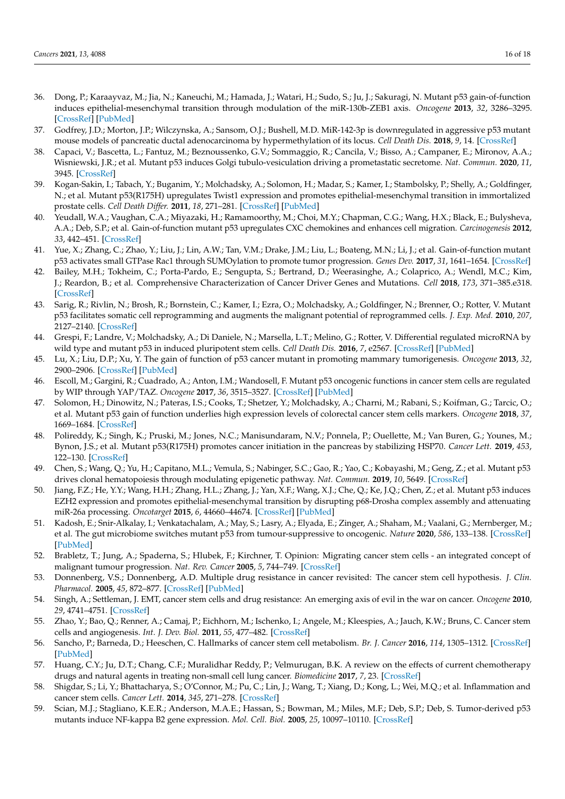- <span id="page-15-0"></span>36. Dong, P.; Karaayvaz, M.; Jia, N.; Kaneuchi, M.; Hamada, J.; Watari, H.; Sudo, S.; Ju, J.; Sakuragi, N. Mutant p53 gain-of-function induces epithelial-mesenchymal transition through modulation of the miR-130b-ZEB1 axis. *Oncogene* **2013**, *32*, 3286–3295. [\[CrossRef\]](http://doi.org/10.1038/onc.2012.334) [\[PubMed\]](http://www.ncbi.nlm.nih.gov/pubmed/22847613)
- <span id="page-15-1"></span>37. Godfrey, J.D.; Morton, J.P.; Wilczynska, A.; Sansom, O.J.; Bushell, M.D. MiR-142-3p is downregulated in aggressive p53 mutant mouse models of pancreatic ductal adenocarcinoma by hypermethylation of its locus. *Cell Death Dis.* **2018**, *9*, 14. [\[CrossRef\]](http://doi.org/10.1038/s41419-018-0628-4)
- <span id="page-15-2"></span>38. Capaci, V.; Bascetta, L.; Fantuz, M.; Beznoussenko, G.V.; Sommaggio, R.; Cancila, V.; Bisso, A.; Campaner, E.; Mironov, A.A.; Wisniewski, J.R.; et al. Mutant p53 induces Golgi tubulo-vesiculation driving a prometastatic secretome. *Nat. Commun.* **2020**, *11*, 3945. [\[CrossRef\]](http://doi.org/10.1038/s41467-020-17596-5)
- <span id="page-15-3"></span>39. Kogan-Sakin, I.; Tabach, Y.; Buganim, Y.; Molchadsky, A.; Solomon, H.; Madar, S.; Kamer, I.; Stambolsky, P.; Shelly, A.; Goldfinger, N.; et al. Mutant p53(R175H) upregulates Twist1 expression and promotes epithelial-mesenchymal transition in immortalized prostate cells. *Cell Death Differ.* **2011**, *18*, 271–281. [\[CrossRef\]](http://doi.org/10.1038/cdd.2010.94) [\[PubMed\]](http://www.ncbi.nlm.nih.gov/pubmed/20689556)
- <span id="page-15-4"></span>40. Yeudall, W.A.; Vaughan, C.A.; Miyazaki, H.; Ramamoorthy, M.; Choi, M.Y.; Chapman, C.G.; Wang, H.X.; Black, E.; Bulysheva, A.A.; Deb, S.P.; et al. Gain-of-function mutant p53 upregulates CXC chemokines and enhances cell migration. *Carcinogenesis* **2012**, *33*, 442–451. [\[CrossRef\]](http://doi.org/10.1093/carcin/bgr270)
- <span id="page-15-5"></span>41. Yue, X.; Zhang, C.; Zhao, Y.; Liu, J.; Lin, A.W.; Tan, V.M.; Drake, J.M.; Liu, L.; Boateng, M.N.; Li, J.; et al. Gain-of-function mutant p53 activates small GTPase Rac1 through SUMOylation to promote tumor progression. *Genes Dev.* **2017**, *31*, 1641–1654. [\[CrossRef\]](http://doi.org/10.1101/gad.301564.117)
- <span id="page-15-6"></span>42. Bailey, M.H.; Tokheim, C.; Porta-Pardo, E.; Sengupta, S.; Bertrand, D.; Weerasinghe, A.; Colaprico, A.; Wendl, M.C.; Kim, J.; Reardon, B.; et al. Comprehensive Characterization of Cancer Driver Genes and Mutations. *Cell* **2018**, *173*, 371–385.e318. [\[CrossRef\]](http://doi.org/10.1016/j.cell.2018.02.060)
- <span id="page-15-7"></span>43. Sarig, R.; Rivlin, N.; Brosh, R.; Bornstein, C.; Kamer, I.; Ezra, O.; Molchadsky, A.; Goldfinger, N.; Brenner, O.; Rotter, V. Mutant p53 facilitates somatic cell reprogramming and augments the malignant potential of reprogrammed cells. *J. Exp. Med.* **2010**, *207*, 2127–2140. [\[CrossRef\]](http://doi.org/10.1084/jem.20100797)
- <span id="page-15-8"></span>44. Grespi, F.; Landre, V.; Molchadsky, A.; Di Daniele, N.; Marsella, L.T.; Melino, G.; Rotter, V. Differential regulated microRNA by wild type and mutant p53 in induced pluripotent stem cells. *Cell Death Dis.* **2016**, *7*, e2567. [\[CrossRef\]](http://doi.org/10.1038/cddis.2016.419) [\[PubMed\]](http://www.ncbi.nlm.nih.gov/pubmed/28032868)
- <span id="page-15-9"></span>45. Lu, X.; Liu, D.P.; Xu, Y. The gain of function of p53 cancer mutant in promoting mammary tumorigenesis. *Oncogene* **2013**, *32*, 2900–2906. [\[CrossRef\]](http://doi.org/10.1038/onc.2012.299) [\[PubMed\]](http://www.ncbi.nlm.nih.gov/pubmed/22824795)
- <span id="page-15-10"></span>46. Escoll, M.; Gargini, R.; Cuadrado, A.; Anton, I.M.; Wandosell, F. Mutant p53 oncogenic functions in cancer stem cells are regulated by WIP through YAP/TAZ. *Oncogene* **2017**, *36*, 3515–3527. [\[CrossRef\]](http://doi.org/10.1038/onc.2016.518) [\[PubMed\]](http://www.ncbi.nlm.nih.gov/pubmed/28166194)
- <span id="page-15-11"></span>47. Solomon, H.; Dinowitz, N.; Pateras, I.S.; Cooks, T.; Shetzer, Y.; Molchadsky, A.; Charni, M.; Rabani, S.; Koifman, G.; Tarcic, O.; et al. Mutant p53 gain of function underlies high expression levels of colorectal cancer stem cells markers. *Oncogene* **2018**, *37*, 1669–1684. [\[CrossRef\]](http://doi.org/10.1038/s41388-017-0060-8)
- <span id="page-15-12"></span>48. Polireddy, K.; Singh, K.; Pruski, M.; Jones, N.C.; Manisundaram, N.V.; Ponnela, P.; Ouellette, M.; Van Buren, G.; Younes, M.; Bynon, J.S.; et al. Mutant p53(R175H) promotes cancer initiation in the pancreas by stabilizing HSP70. *Cancer Lett.* **2019**, *453*, 122–130. [\[CrossRef\]](http://doi.org/10.1016/j.canlet.2019.03.047)
- <span id="page-15-13"></span>49. Chen, S.; Wang, Q.; Yu, H.; Capitano, M.L.; Vemula, S.; Nabinger, S.C.; Gao, R.; Yao, C.; Kobayashi, M.; Geng, Z.; et al. Mutant p53 drives clonal hematopoiesis through modulating epigenetic pathway. *Nat. Commun.* **2019**, *10*, 5649. [\[CrossRef\]](http://doi.org/10.1038/s41467-019-13542-2)
- <span id="page-15-14"></span>50. Jiang, F.Z.; He, Y.Y.; Wang, H.H.; Zhang, H.L.; Zhang, J.; Yan, X.F.; Wang, X.J.; Che, Q.; Ke, J.Q.; Chen, Z.; et al. Mutant p53 induces EZH2 expression and promotes epithelial-mesenchymal transition by disrupting p68-Drosha complex assembly and attenuating miR-26a processing. *Oncotarget* **2015**, *6*, 44660–44674. [\[CrossRef\]](http://doi.org/10.18632/oncotarget.6350) [\[PubMed\]](http://www.ncbi.nlm.nih.gov/pubmed/26587974)
- <span id="page-15-15"></span>51. Kadosh, E.; Snir-Alkalay, I.; Venkatachalam, A.; May, S.; Lasry, A.; Elyada, E.; Zinger, A.; Shaham, M.; Vaalani, G.; Mernberger, M.; et al. The gut microbiome switches mutant p53 from tumour-suppressive to oncogenic. *Nature* **2020**, *586*, 133–138. [\[CrossRef\]](http://doi.org/10.1038/s41586-020-2541-0) [\[PubMed\]](http://www.ncbi.nlm.nih.gov/pubmed/32728212)
- <span id="page-15-16"></span>52. Brabletz, T.; Jung, A.; Spaderna, S.; Hlubek, F.; Kirchner, T. Opinion: Migrating cancer stem cells - an integrated concept of malignant tumour progression. *Nat. Rev. Cancer* **2005**, *5*, 744–749. [\[CrossRef\]](http://doi.org/10.1038/nrc1694)
- <span id="page-15-17"></span>53. Donnenberg, V.S.; Donnenberg, A.D. Multiple drug resistance in cancer revisited: The cancer stem cell hypothesis. *J. Clin. Pharmacol.* **2005**, *45*, 872–877. [\[CrossRef\]](http://doi.org/10.1177/0091270005276905) [\[PubMed\]](http://www.ncbi.nlm.nih.gov/pubmed/16027397)
- <span id="page-15-18"></span>54. Singh, A.; Settleman, J. EMT, cancer stem cells and drug resistance: An emerging axis of evil in the war on cancer. *Oncogene* **2010**, *29*, 4741–4751. [\[CrossRef\]](http://doi.org/10.1038/onc.2010.215)
- <span id="page-15-19"></span>55. Zhao, Y.; Bao, Q.; Renner, A.; Camaj, P.; Eichhorn, M.; Ischenko, I.; Angele, M.; Kleespies, A.; Jauch, K.W.; Bruns, C. Cancer stem cells and angiogenesis. *Int. J. Dev. Biol.* **2011**, *55*, 477–482. [\[CrossRef\]](http://doi.org/10.1387/ijdb.103225yz)
- <span id="page-15-20"></span>56. Sancho, P.; Barneda, D.; Heeschen, C. Hallmarks of cancer stem cell metabolism. *Br. J. Cancer* **2016**, *114*, 1305–1312. [\[CrossRef\]](http://doi.org/10.1038/bjc.2016.152) [\[PubMed\]](http://www.ncbi.nlm.nih.gov/pubmed/27219018)
- <span id="page-15-21"></span>57. Huang, C.Y.; Ju, D.T.; Chang, C.F.; Muralidhar Reddy, P.; Velmurugan, B.K. A review on the effects of current chemotherapy drugs and natural agents in treating non-small cell lung cancer. *Biomedicine* **2017**, *7*, 23. [\[CrossRef\]](http://doi.org/10.1051/bmdcn/2017070423)
- <span id="page-15-22"></span>58. Shigdar, S.; Li, Y.; Bhattacharya, S.; O'Connor, M.; Pu, C.; Lin, J.; Wang, T.; Xiang, D.; Kong, L.; Wei, M.Q.; et al. Inflammation and cancer stem cells. *Cancer Lett.* **2014**, *345*, 271–278. [\[CrossRef\]](http://doi.org/10.1016/j.canlet.2013.07.031)
- <span id="page-15-23"></span>59. Scian, M.J.; Stagliano, K.E.R.; Anderson, M.A.E.; Hassan, S.; Bowman, M.; Miles, M.F.; Deb, S.P.; Deb, S. Tumor-derived p53 mutants induce NF-kappa B2 gene expression. *Mol. Cell. Biol.* **2005**, *25*, 10097–10110. [\[CrossRef\]](http://doi.org/10.1128/MCB.25.22.10097-10110.2005)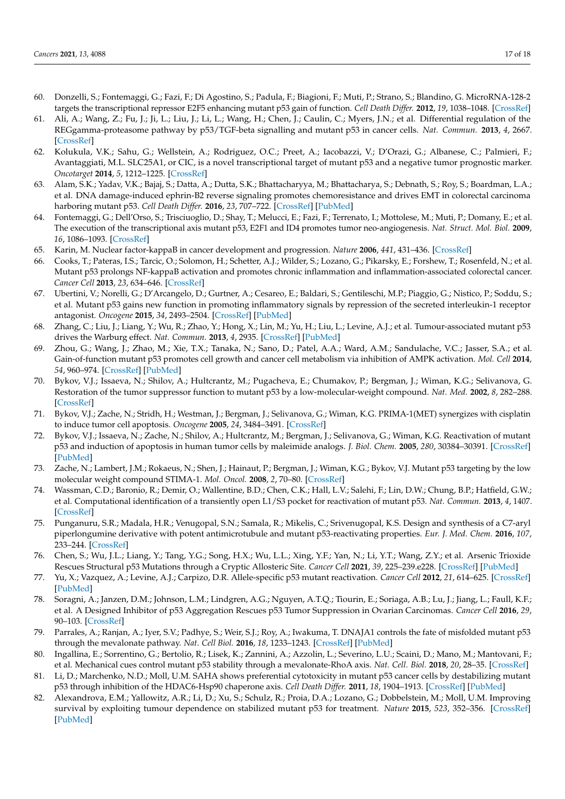- <span id="page-16-0"></span>60. Donzelli, S.; Fontemaggi, G.; Fazi, F.; Di Agostino, S.; Padula, F.; Biagioni, F.; Muti, P.; Strano, S.; Blandino, G. MicroRNA-128-2 targets the transcriptional repressor E2F5 enhancing mutant p53 gain of function. *Cell Death Differ.* **2012**, *19*, 1038–1048. [\[CrossRef\]](http://doi.org/10.1038/cdd.2011.190)
- <span id="page-16-1"></span>61. Ali, A.; Wang, Z.; Fu, J.; Ji, L.; Liu, J.; Li, L.; Wang, H.; Chen, J.; Caulin, C.; Myers, J.N.; et al. Differential regulation of the REGgamma-proteasome pathway by p53/TGF-beta signalling and mutant p53 in cancer cells. *Nat. Commun.* **2013**, *4*, 2667. [\[CrossRef\]](http://doi.org/10.1038/ncomms3667)
- <span id="page-16-2"></span>62. Kolukula, V.K.; Sahu, G.; Wellstein, A.; Rodriguez, O.C.; Preet, A.; Iacobazzi, V.; D'Orazi, G.; Albanese, C.; Palmieri, F.; Avantaggiati, M.L. SLC25A1, or CIC, is a novel transcriptional target of mutant p53 and a negative tumor prognostic marker. *Oncotarget* **2014**, *5*, 1212–1225. [\[CrossRef\]](http://doi.org/10.18632/oncotarget.1831)
- <span id="page-16-3"></span>63. Alam, S.K.; Yadav, V.K.; Bajaj, S.; Datta, A.; Dutta, S.K.; Bhattacharyya, M.; Bhattacharya, S.; Debnath, S.; Roy, S.; Boardman, L.A.; et al. DNA damage-induced ephrin-B2 reverse signaling promotes chemoresistance and drives EMT in colorectal carcinoma harboring mutant p53. *Cell Death Differ.* **2016**, *23*, 707–722. [\[CrossRef\]](http://doi.org/10.1038/cdd.2015.133) [\[PubMed\]](http://www.ncbi.nlm.nih.gov/pubmed/26494468)
- <span id="page-16-4"></span>64. Fontemaggi, G.; Dell'Orso, S.; Trisciuoglio, D.; Shay, T.; Melucci, E.; Fazi, F.; Terrenato, I.; Mottolese, M.; Muti, P.; Domany, E.; et al. The execution of the transcriptional axis mutant p53, E2F1 and ID4 promotes tumor neo-angiogenesis. *Nat. Struct. Mol. Biol.* **2009**, *16*, 1086–1093. [\[CrossRef\]](http://doi.org/10.1038/nsmb.1669)
- <span id="page-16-5"></span>65. Karin, M. Nuclear factor-kappaB in cancer development and progression. *Nature* **2006**, *441*, 431–436. [\[CrossRef\]](http://doi.org/10.1038/nature04870)
- <span id="page-16-6"></span>66. Cooks, T.; Pateras, I.S.; Tarcic, O.; Solomon, H.; Schetter, A.J.; Wilder, S.; Lozano, G.; Pikarsky, E.; Forshew, T.; Rosenfeld, N.; et al. Mutant p53 prolongs NF-kappaB activation and promotes chronic inflammation and inflammation-associated colorectal cancer. *Cancer Cell* **2013**, *23*, 634–646. [\[CrossRef\]](http://doi.org/10.1016/j.ccr.2013.03.022)
- <span id="page-16-7"></span>67. Ubertini, V.; Norelli, G.; D'Arcangelo, D.; Gurtner, A.; Cesareo, E.; Baldari, S.; Gentileschi, M.P.; Piaggio, G.; Nistico, P.; Soddu, S.; et al. Mutant p53 gains new function in promoting inflammatory signals by repression of the secreted interleukin-1 receptor antagonist. *Oncogene* **2015**, *34*, 2493–2504. [\[CrossRef\]](http://doi.org/10.1038/onc.2014.191) [\[PubMed\]](http://www.ncbi.nlm.nih.gov/pubmed/24998848)
- <span id="page-16-8"></span>68. Zhang, C.; Liu, J.; Liang, Y.; Wu, R.; Zhao, Y.; Hong, X.; Lin, M.; Yu, H.; Liu, L.; Levine, A.J.; et al. Tumour-associated mutant p53 drives the Warburg effect. *Nat. Commun.* **2013**, *4*, 2935. [\[CrossRef\]](http://doi.org/10.1038/ncomms3935) [\[PubMed\]](http://www.ncbi.nlm.nih.gov/pubmed/24343302)
- <span id="page-16-9"></span>69. Zhou, G.; Wang, J.; Zhao, M.; Xie, T.X.; Tanaka, N.; Sano, D.; Patel, A.A.; Ward, A.M.; Sandulache, V.C.; Jasser, S.A.; et al. Gain-of-function mutant p53 promotes cell growth and cancer cell metabolism via inhibition of AMPK activation. *Mol. Cell* **2014**, *54*, 960–974. [\[CrossRef\]](http://doi.org/10.1016/j.molcel.2014.04.024) [\[PubMed\]](http://www.ncbi.nlm.nih.gov/pubmed/24857548)
- <span id="page-16-10"></span>70. Bykov, V.J.; Issaeva, N.; Shilov, A.; Hultcrantz, M.; Pugacheva, E.; Chumakov, P.; Bergman, J.; Wiman, K.G.; Selivanova, G. Restoration of the tumor suppressor function to mutant p53 by a low-molecular-weight compound. *Nat. Med.* **2002**, *8*, 282–288. [\[CrossRef\]](http://doi.org/10.1038/nm0302-282)
- <span id="page-16-11"></span>71. Bykov, V.J.; Zache, N.; Stridh, H.; Westman, J.; Bergman, J.; Selivanova, G.; Wiman, K.G. PRIMA-1(MET) synergizes with cisplatin to induce tumor cell apoptosis. *Oncogene* **2005**, *24*, 3484–3491. [\[CrossRef\]](http://doi.org/10.1038/sj.onc.1208419)
- <span id="page-16-12"></span>72. Bykov, V.J.; Issaeva, N.; Zache, N.; Shilov, A.; Hultcrantz, M.; Bergman, J.; Selivanova, G.; Wiman, K.G. Reactivation of mutant p53 and induction of apoptosis in human tumor cells by maleimide analogs. *J. Biol. Chem.* **2005**, *280*, 30384–30391. [\[CrossRef\]](http://doi.org/10.1074/jbc.M501664200) [\[PubMed\]](http://www.ncbi.nlm.nih.gov/pubmed/15998635)
- <span id="page-16-13"></span>73. Zache, N.; Lambert, J.M.; Rokaeus, N.; Shen, J.; Hainaut, P.; Bergman, J.; Wiman, K.G.; Bykov, V.J. Mutant p53 targeting by the low molecular weight compound STIMA-1. *Mol. Oncol.* **2008**, *2*, 70–80. [\[CrossRef\]](http://doi.org/10.1016/j.molonc.2008.02.004)
- <span id="page-16-14"></span>74. Wassman, C.D.; Baronio, R.; Demir, O.; Wallentine, B.D.; Chen, C.K.; Hall, L.V.; Salehi, F.; Lin, D.W.; Chung, B.P.; Hatfield, G.W.; et al. Computational identification of a transiently open L1/S3 pocket for reactivation of mutant p53. *Nat. Commun.* **2013**, *4*, 1407. [\[CrossRef\]](http://doi.org/10.1038/ncomms2361)
- <span id="page-16-15"></span>75. Punganuru, S.R.; Madala, H.R.; Venugopal, S.N.; Samala, R.; Mikelis, C.; Srivenugopal, K.S. Design and synthesis of a C7-aryl piperlongumine derivative with potent antimicrotubule and mutant p53-reactivating properties. *Eur. J. Med. Chem.* **2016**, *107*, 233–244. [\[CrossRef\]](http://doi.org/10.1016/j.ejmech.2015.10.052)
- <span id="page-16-16"></span>76. Chen, S.; Wu, J.L.; Liang, Y.; Tang, Y.G.; Song, H.X.; Wu, L.L.; Xing, Y.F.; Yan, N.; Li, Y.T.; Wang, Z.Y.; et al. Arsenic Trioxide Rescues Structural p53 Mutations through a Cryptic Allosteric Site. *Cancer Cell* **2021**, *39*, 225–239.e228. [\[CrossRef\]](http://doi.org/10.1016/j.ccell.2020.11.013) [\[PubMed\]](http://www.ncbi.nlm.nih.gov/pubmed/33357454)
- <span id="page-16-17"></span>77. Yu, X.; Vazquez, A.; Levine, A.J.; Carpizo, D.R. Allele-specific p53 mutant reactivation. *Cancer Cell* **2012**, *21*, 614–625. [\[CrossRef\]](http://doi.org/10.1016/j.ccr.2012.03.042) [\[PubMed\]](http://www.ncbi.nlm.nih.gov/pubmed/22624712)
- <span id="page-16-18"></span>78. Soragni, A.; Janzen, D.M.; Johnson, L.M.; Lindgren, A.G.; Nguyen, A.T.Q.; Tiourin, E.; Soriaga, A.B.; Lu, J.; Jiang, L.; Faull, K.F.; et al. A Designed Inhibitor of p53 Aggregation Rescues p53 Tumor Suppression in Ovarian Carcinomas. *Cancer Cell* **2016**, *29*, 90–103. [\[CrossRef\]](http://doi.org/10.1016/j.ccell.2015.12.002)
- <span id="page-16-19"></span>79. Parrales, A.; Ranjan, A.; Iyer, S.V.; Padhye, S.; Weir, S.J.; Roy, A.; Iwakuma, T. DNAJA1 controls the fate of misfolded mutant p53 through the mevalonate pathway. *Nat. Cell Biol.* **2016**, *18*, 1233–1243. [\[CrossRef\]](http://doi.org/10.1038/ncb3427) [\[PubMed\]](http://www.ncbi.nlm.nih.gov/pubmed/27775703)
- <span id="page-16-20"></span>80. Ingallina, E.; Sorrentino, G.; Bertolio, R.; Lisek, K.; Zannini, A.; Azzolin, L.; Severino, L.U.; Scaini, D.; Mano, M.; Mantovani, F.; et al. Mechanical cues control mutant p53 stability through a mevalonate-RhoA axis. *Nat. Cell. Biol.* **2018**, *20*, 28–35. [\[CrossRef\]](http://doi.org/10.1038/s41556-017-0009-8)
- <span id="page-16-21"></span>81. Li, D.; Marchenko, N.D.; Moll, U.M. SAHA shows preferential cytotoxicity in mutant p53 cancer cells by destabilizing mutant p53 through inhibition of the HDAC6-Hsp90 chaperone axis. *Cell Death Differ.* **2011**, *18*, 1904–1913. [\[CrossRef\]](http://doi.org/10.1038/cdd.2011.71) [\[PubMed\]](http://www.ncbi.nlm.nih.gov/pubmed/21637290)
- <span id="page-16-22"></span>82. Alexandrova, E.M.; Yallowitz, A.R.; Li, D.; Xu, S.; Schulz, R.; Proia, D.A.; Lozano, G.; Dobbelstein, M.; Moll, U.M. Improving survival by exploiting tumour dependence on stabilized mutant p53 for treatment. *Nature* **2015**, *523*, 352–356. [\[CrossRef\]](http://doi.org/10.1038/nature14430) [\[PubMed\]](http://www.ncbi.nlm.nih.gov/pubmed/26009011)